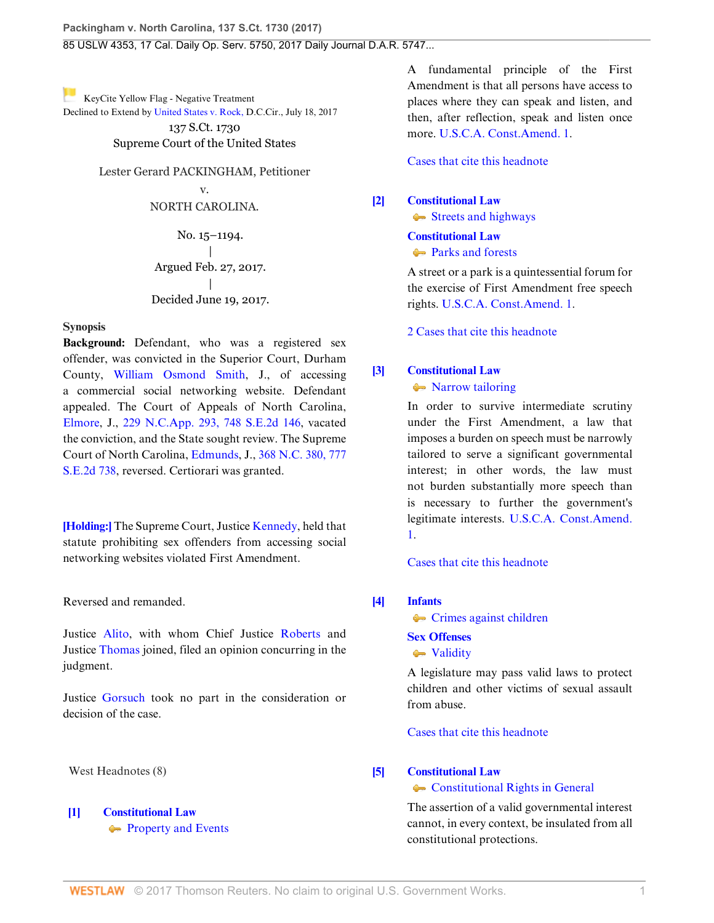[K](https://1.next.westlaw.com/Link/RelatedInformation/Flag?documentGuid=I6ee1aafe54f611e7b73588f1a9cfce05&transitionType=Document&originationContext=docHeaderFlag&contextData=(sc.UserEnteredCitation))eyCite Yellow Flag - Negative Treatment Declined to Extend by [United States v. Rock,](https://1.next.westlaw.com/Document/I6eef65606bcd11e794a1f7ff5c621124/View/FullText.html?navigationPath=RelatedInfo%2Fv4%2Fkeycite%2Fnav%2F%3Fguid%3DI6eef65606bcd11e794a1f7ff5c621124%26ss%3D2041886066%26ds%3D2042182768&listSource=RelatedInfo&list=NegativeCitingReferences&rank=0&originationContext=docHeader&transitionType=NegativeTreatment&contextData=%28sc.UserEnteredCitation%29) D.C.Cir., July 18, 2017 137 S.Ct. 1730

# Supreme Court of the United States

Lester Gerard PACKINGHAM, Petitioner v.

NORTH CAROLINA.

No. 15–1194. | Argued Feb. 27, 2017. | Decided June 19, 2017.

### **Synopsis**

**Background:** Defendant, who was a registered sex offender, was convicted in the Superior Court, Durham County, [William Osmond Smith](http://www.westlaw.com/Link/Document/FullText?findType=h&pubNum=176284&cite=0142670301&originatingDoc=I6ee1aafe54f611e7b73588f1a9cfce05&refType=RQ&originationContext=document&vr=3.0&rs=cblt1.0&transitionType=DocumentItem&contextData=(sc.UserEnteredCitation)), J., of accessing a commercial social networking website. Defendant appealed. The Court of Appeals of North Carolina, [Elmore](http://www.westlaw.com/Link/Document/FullText?findType=h&pubNum=176284&cite=0148319601&originatingDoc=I6ee1aafe54f611e7b73588f1a9cfce05&refType=RQ&originationContext=document&vr=3.0&rs=cblt1.0&transitionType=DocumentItem&contextData=(sc.UserEnteredCitation)), J., [229 N.C.App. 293, 748 S.E.2d 146,](http://www.westlaw.com/Link/Document/FullText?findType=Y&serNum=2031319497&pubNum=0000711&originatingDoc=I6ee1aafe54f611e7b73588f1a9cfce05&refType=RP&originationContext=document&vr=3.0&rs=cblt1.0&transitionType=DocumentItem&contextData=(sc.UserEnteredCitation)) vacated the conviction, and the State sought review. The Supreme Court of North Carolina, [Edmunds,](http://www.westlaw.com/Link/Document/FullText?findType=h&pubNum=176284&cite=0126614401&originatingDoc=I6ee1aafe54f611e7b73588f1a9cfce05&refType=RQ&originationContext=document&vr=3.0&rs=cblt1.0&transitionType=DocumentItem&contextData=(sc.UserEnteredCitation)) J., [368 N.C. 380, 777](http://www.westlaw.com/Link/Document/FullText?findType=Y&serNum=2037553454&pubNum=0000711&originatingDoc=I6ee1aafe54f611e7b73588f1a9cfce05&refType=RP&originationContext=document&vr=3.0&rs=cblt1.0&transitionType=DocumentItem&contextData=(sc.UserEnteredCitation)) [S.E.2d 738,](http://www.westlaw.com/Link/Document/FullText?findType=Y&serNum=2037553454&pubNum=0000711&originatingDoc=I6ee1aafe54f611e7b73588f1a9cfce05&refType=RP&originationContext=document&vr=3.0&rs=cblt1.0&transitionType=DocumentItem&contextData=(sc.UserEnteredCitation)) reversed. Certiorari was granted.

**[\[Holding:\]](#page-1-0)** The Supreme Court, Justice [Kennedy,](http://www.westlaw.com/Link/Document/FullText?findType=h&pubNum=176284&cite=0243105201&originatingDoc=I6ee1aafe54f611e7b73588f1a9cfce05&refType=RQ&originationContext=document&vr=3.0&rs=cblt1.0&transitionType=DocumentItem&contextData=(sc.UserEnteredCitation)) held that statute prohibiting sex offenders from accessing social networking websites violated First Amendment.

Reversed and remanded.

Justice [Alito,](http://www.westlaw.com/Link/Document/FullText?findType=h&pubNum=176284&cite=0153052401&originatingDoc=I6ee1aafe54f611e7b73588f1a9cfce05&refType=RQ&originationContext=document&vr=3.0&rs=cblt1.0&transitionType=DocumentItem&contextData=(sc.UserEnteredCitation)) with whom Chief Justice [Roberts](http://www.westlaw.com/Link/Document/FullText?findType=h&pubNum=176284&cite=0258116001&originatingDoc=I6ee1aafe54f611e7b73588f1a9cfce05&refType=RQ&originationContext=document&vr=3.0&rs=cblt1.0&transitionType=DocumentItem&contextData=(sc.UserEnteredCitation)) and Justice [Thomas](http://www.westlaw.com/Link/Document/FullText?findType=h&pubNum=176284&cite=0216654601&originatingDoc=I6ee1aafe54f611e7b73588f1a9cfce05&refType=RQ&originationContext=document&vr=3.0&rs=cblt1.0&transitionType=DocumentItem&contextData=(sc.UserEnteredCitation)) joined, filed an opinion concurring in the judgment.

Justice [Gorsuch](http://www.westlaw.com/Link/Document/FullText?findType=h&pubNum=176284&cite=0183411701&originatingDoc=I6ee1aafe54f611e7b73588f1a9cfce05&refType=RQ&originationContext=document&vr=3.0&rs=cblt1.0&transitionType=DocumentItem&contextData=(sc.UserEnteredCitation)) took no part in the consideration or decision of the case.

West Headnotes (8)

# <span id="page-0-0"></span>**[\[1\]](#page-4-0) [Constitutional Law](http://www.westlaw.com/Browse/Home/KeyNumber/92/View.html?docGuid=I6ee1aafe54f611e7b73588f1a9cfce05&originationContext=document&vr=3.0&rs=cblt1.0&transitionType=DocumentItem&contextData=(sc.UserEnteredCitation))**

**[Property and Events](http://www.westlaw.com/Browse/Home/KeyNumber/92XVIII(G)/View.html?docGuid=I6ee1aafe54f611e7b73588f1a9cfce05&originationContext=document&vr=3.0&rs=cblt1.0&transitionType=DocumentItem&contextData=(sc.UserEnteredCitation))** 

A fundamental principle of the First Amendment is that all persons have access to places where they can speak and listen, and then, after reflection, speak and listen once more. [U.S.C.A. Const.Amend. 1](http://www.westlaw.com/Link/Document/FullText?findType=L&pubNum=1000583&cite=USCOAMENDI&originatingDoc=I6ee1aafe54f611e7b73588f1a9cfce05&refType=LQ&originationContext=document&vr=3.0&rs=cblt1.0&transitionType=DocumentItem&contextData=(sc.UserEnteredCitation)).

[Cases that cite this headnote](http://www.westlaw.com/Link/RelatedInformation/DocHeadnoteLink?docGuid=I6ee1aafe54f611e7b73588f1a9cfce05&headnoteId=204188606600120170731065917&originationContext=document&vr=3.0&rs=cblt1.0&transitionType=CitingReferences&contextData=(sc.UserEnteredCitation))

<span id="page-0-1"></span>**[\[2\]](#page-4-1) [Constitutional Law](http://www.westlaw.com/Browse/Home/KeyNumber/92/View.html?docGuid=I6ee1aafe54f611e7b73588f1a9cfce05&originationContext=document&vr=3.0&rs=cblt1.0&transitionType=DocumentItem&contextData=(sc.UserEnteredCitation))**

 $\blacktriangleright$  [Streets and highways](http://www.westlaw.com/Browse/Home/KeyNumber/92k1759/View.html?docGuid=I6ee1aafe54f611e7b73588f1a9cfce05&originationContext=document&vr=3.0&rs=cblt1.0&transitionType=DocumentItem&contextData=(sc.UserEnteredCitation))

### **[Constitutional Law](http://www.westlaw.com/Browse/Home/KeyNumber/92/View.html?docGuid=I6ee1aafe54f611e7b73588f1a9cfce05&originationContext=document&vr=3.0&rs=cblt1.0&transitionType=DocumentItem&contextData=(sc.UserEnteredCitation))**

**[Parks and forests](http://www.westlaw.com/Browse/Home/KeyNumber/92k1761/View.html?docGuid=I6ee1aafe54f611e7b73588f1a9cfce05&originationContext=document&vr=3.0&rs=cblt1.0&transitionType=DocumentItem&contextData=(sc.UserEnteredCitation))** 

A street or a park is a quintessential forum for the exercise of First Amendment free speech rights. [U.S.C.A. Const.Amend. 1.](http://www.westlaw.com/Link/Document/FullText?findType=L&pubNum=1000583&cite=USCOAMENDI&originatingDoc=I6ee1aafe54f611e7b73588f1a9cfce05&refType=LQ&originationContext=document&vr=3.0&rs=cblt1.0&transitionType=DocumentItem&contextData=(sc.UserEnteredCitation))

[2 Cases that cite this headnote](http://www.westlaw.com/Link/RelatedInformation/DocHeadnoteLink?docGuid=I6ee1aafe54f611e7b73588f1a9cfce05&headnoteId=204188606600220170731065917&originationContext=document&vr=3.0&rs=cblt1.0&transitionType=CitingReferences&contextData=(sc.UserEnteredCitation))

### <span id="page-0-2"></span>**[\[3\]](#page-5-0) [Constitutional Law](http://www.westlaw.com/Browse/Home/KeyNumber/92/View.html?docGuid=I6ee1aafe54f611e7b73588f1a9cfce05&originationContext=document&vr=3.0&rs=cblt1.0&transitionType=DocumentItem&contextData=(sc.UserEnteredCitation))**

[Narrow tailoring](http://www.westlaw.com/Browse/Home/KeyNumber/92k1505/View.html?docGuid=I6ee1aafe54f611e7b73588f1a9cfce05&originationContext=document&vr=3.0&rs=cblt1.0&transitionType=DocumentItem&contextData=(sc.UserEnteredCitation))

In order to survive intermediate scrutiny under the First Amendment, a law that imposes a burden on speech must be narrowly tailored to serve a significant governmental interest; in other words, the law must not burden substantially more speech than is necessary to further the government's legitimate interests. [U.S.C.A. Const.Amend.](http://www.westlaw.com/Link/Document/FullText?findType=L&pubNum=1000583&cite=USCOAMENDI&originatingDoc=I6ee1aafe54f611e7b73588f1a9cfce05&refType=LQ&originationContext=document&vr=3.0&rs=cblt1.0&transitionType=DocumentItem&contextData=(sc.UserEnteredCitation)) [1](http://www.westlaw.com/Link/Document/FullText?findType=L&pubNum=1000583&cite=USCOAMENDI&originatingDoc=I6ee1aafe54f611e7b73588f1a9cfce05&refType=LQ&originationContext=document&vr=3.0&rs=cblt1.0&transitionType=DocumentItem&contextData=(sc.UserEnteredCitation)).

[Cases that cite this headnote](http://www.westlaw.com/Link/RelatedInformation/DocHeadnoteLink?docGuid=I6ee1aafe54f611e7b73588f1a9cfce05&headnoteId=204188606600320170731065917&originationContext=document&vr=3.0&rs=cblt1.0&transitionType=CitingReferences&contextData=(sc.UserEnteredCitation))

### <span id="page-0-3"></span>**[\[4\]](#page-5-1) [Infants](http://www.westlaw.com/Browse/Home/KeyNumber/211/View.html?docGuid=I6ee1aafe54f611e7b73588f1a9cfce05&originationContext=document&vr=3.0&rs=cblt1.0&transitionType=DocumentItem&contextData=(sc.UserEnteredCitation))**

**[Crimes against children](http://www.westlaw.com/Browse/Home/KeyNumber/211k1006(12)/View.html?docGuid=I6ee1aafe54f611e7b73588f1a9cfce05&originationContext=document&vr=3.0&rs=cblt1.0&transitionType=DocumentItem&contextData=(sc.UserEnteredCitation))** 

### **[Sex Offenses](http://www.westlaw.com/Browse/Home/KeyNumber/352H/View.html?docGuid=I6ee1aafe54f611e7b73588f1a9cfce05&originationContext=document&vr=3.0&rs=cblt1.0&transitionType=DocumentItem&contextData=(sc.UserEnteredCitation))**

**[Validity](http://www.westlaw.com/Browse/Home/KeyNumber/352Hk5/View.html?docGuid=I6ee1aafe54f611e7b73588f1a9cfce05&originationContext=document&vr=3.0&rs=cblt1.0&transitionType=DocumentItem&contextData=(sc.UserEnteredCitation))** 

A legislature may pass valid laws to protect children and other victims of sexual assault from abuse.

[Cases that cite this headnote](http://www.westlaw.com/Link/RelatedInformation/DocHeadnoteLink?docGuid=I6ee1aafe54f611e7b73588f1a9cfce05&headnoteId=204188606600420170731065917&originationContext=document&vr=3.0&rs=cblt1.0&transitionType=CitingReferences&contextData=(sc.UserEnteredCitation))

### <span id="page-0-4"></span>**[\[5\]](#page-5-2) [Constitutional Law](http://www.westlaw.com/Browse/Home/KeyNumber/92/View.html?docGuid=I6ee1aafe54f611e7b73588f1a9cfce05&originationContext=document&vr=3.0&rs=cblt1.0&transitionType=DocumentItem&contextData=(sc.UserEnteredCitation))**

**[Constitutional Rights in General](http://www.westlaw.com/Browse/Home/KeyNumber/92VII/View.html?docGuid=I6ee1aafe54f611e7b73588f1a9cfce05&originationContext=document&vr=3.0&rs=cblt1.0&transitionType=DocumentItem&contextData=(sc.UserEnteredCitation))** 

The assertion of a valid governmental interest cannot, in every context, be insulated from all constitutional protections.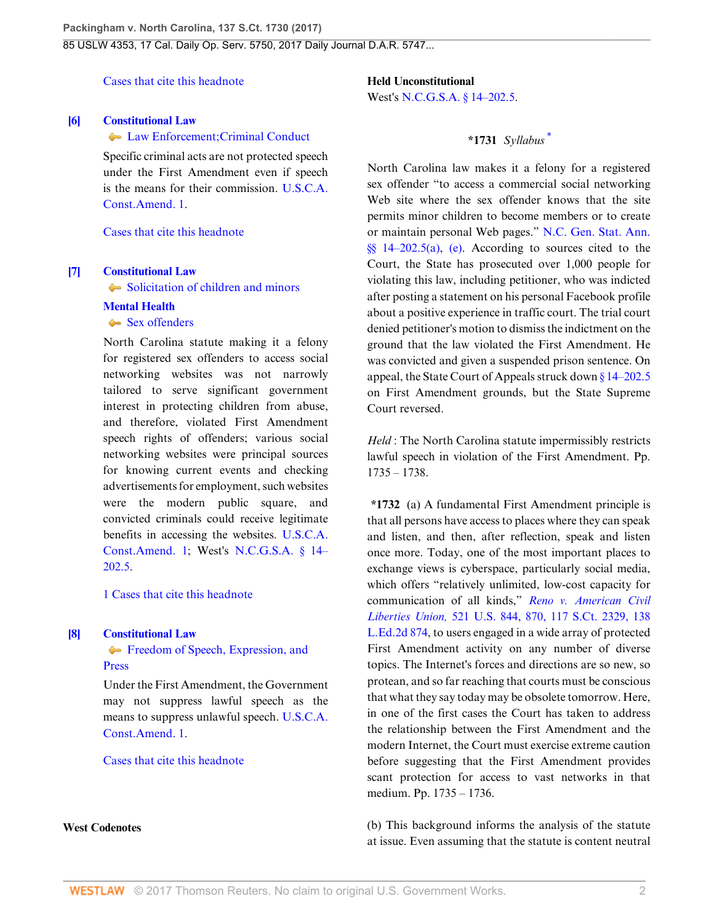[Cases that cite this headnote](http://www.westlaw.com/Link/RelatedInformation/DocHeadnoteLink?docGuid=I6ee1aafe54f611e7b73588f1a9cfce05&headnoteId=204188606600520170731065917&originationContext=document&vr=3.0&rs=cblt1.0&transitionType=CitingReferences&contextData=(sc.UserEnteredCitation))

### <span id="page-1-1"></span>**[\[6\]](#page-5-3) [Constitutional Law](http://www.westlaw.com/Browse/Home/KeyNumber/92/View.html?docGuid=I6ee1aafe54f611e7b73588f1a9cfce05&originationContext=document&vr=3.0&rs=cblt1.0&transitionType=DocumentItem&contextData=(sc.UserEnteredCitation))**

**[Law Enforcement; Criminal Conduct](http://www.westlaw.com/Browse/Home/KeyNumber/92XVIII(H)/View.html?docGuid=I6ee1aafe54f611e7b73588f1a9cfce05&originationContext=document&vr=3.0&rs=cblt1.0&transitionType=DocumentItem&contextData=(sc.UserEnteredCitation))** 

Specific criminal acts are not protected speech under the First Amendment even if speech is the means for their commission. [U.S.C.A.](http://www.westlaw.com/Link/Document/FullText?findType=L&pubNum=1000583&cite=USCOAMENDI&originatingDoc=I6ee1aafe54f611e7b73588f1a9cfce05&refType=LQ&originationContext=document&vr=3.0&rs=cblt1.0&transitionType=DocumentItem&contextData=(sc.UserEnteredCitation)) [Const.Amend. 1](http://www.westlaw.com/Link/Document/FullText?findType=L&pubNum=1000583&cite=USCOAMENDI&originatingDoc=I6ee1aafe54f611e7b73588f1a9cfce05&refType=LQ&originationContext=document&vr=3.0&rs=cblt1.0&transitionType=DocumentItem&contextData=(sc.UserEnteredCitation)).

### [Cases that cite this headnote](http://www.westlaw.com/Link/RelatedInformation/DocHeadnoteLink?docGuid=I6ee1aafe54f611e7b73588f1a9cfce05&headnoteId=204188606600620170731065917&originationContext=document&vr=3.0&rs=cblt1.0&transitionType=CitingReferences&contextData=(sc.UserEnteredCitation))

#### <span id="page-1-0"></span>**[\[7\]](#page-5-4) [Constitutional Law](http://www.westlaw.com/Browse/Home/KeyNumber/92/View.html?docGuid=I6ee1aafe54f611e7b73588f1a9cfce05&originationContext=document&vr=3.0&rs=cblt1.0&transitionType=DocumentItem&contextData=(sc.UserEnteredCitation))**

[Solicitation of children and minors](http://www.westlaw.com/Browse/Home/KeyNumber/92k2260/View.html?docGuid=I6ee1aafe54f611e7b73588f1a9cfce05&originationContext=document&vr=3.0&rs=cblt1.0&transitionType=DocumentItem&contextData=(sc.UserEnteredCitation))

#### **[Mental Health](http://www.westlaw.com/Browse/Home/KeyNumber/257A/View.html?docGuid=I6ee1aafe54f611e7b73588f1a9cfce05&originationContext=document&vr=3.0&rs=cblt1.0&transitionType=DocumentItem&contextData=(sc.UserEnteredCitation))**

#### [Sex offenders](http://www.westlaw.com/Browse/Home/KeyNumber/257Ak433(2)/View.html?docGuid=I6ee1aafe54f611e7b73588f1a9cfce05&originationContext=document&vr=3.0&rs=cblt1.0&transitionType=DocumentItem&contextData=(sc.UserEnteredCitation))

North Carolina statute making it a felony for registered sex offenders to access social networking websites was not narrowly tailored to serve significant government interest in protecting children from abuse, and therefore, violated First Amendment speech rights of offenders; various social networking websites were principal sources for knowing current events and checking advertisements for employment, such websites were the modern public square, and convicted criminals could receive legitimate benefits in accessing the websites. [U.S.C.A.](http://www.westlaw.com/Link/Document/FullText?findType=L&pubNum=1000583&cite=USCOAMENDI&originatingDoc=I6ee1aafe54f611e7b73588f1a9cfce05&refType=LQ&originationContext=document&vr=3.0&rs=cblt1.0&transitionType=DocumentItem&contextData=(sc.UserEnteredCitation)) [Const.Amend. 1](http://www.westlaw.com/Link/Document/FullText?findType=L&pubNum=1000583&cite=USCOAMENDI&originatingDoc=I6ee1aafe54f611e7b73588f1a9cfce05&refType=LQ&originationContext=document&vr=3.0&rs=cblt1.0&transitionType=DocumentItem&contextData=(sc.UserEnteredCitation)); West's [N.C.G.S.A. § 14–](http://www.westlaw.com/Link/Document/FullText?findType=L&pubNum=1000037&cite=NCSTS14-202.5&originatingDoc=I6ee1aafe54f611e7b73588f1a9cfce05&refType=LQ&originationContext=document&vr=3.0&rs=cblt1.0&transitionType=DocumentItem&contextData=(sc.UserEnteredCitation)) [202.5](http://www.westlaw.com/Link/Document/FullText?findType=L&pubNum=1000037&cite=NCSTS14-202.5&originatingDoc=I6ee1aafe54f611e7b73588f1a9cfce05&refType=LQ&originationContext=document&vr=3.0&rs=cblt1.0&transitionType=DocumentItem&contextData=(sc.UserEnteredCitation)).

[1 Cases that cite this headnote](http://www.westlaw.com/Link/RelatedInformation/DocHeadnoteLink?docGuid=I6ee1aafe54f611e7b73588f1a9cfce05&headnoteId=204188606600720170731065917&originationContext=document&vr=3.0&rs=cblt1.0&transitionType=CitingReferences&contextData=(sc.UserEnteredCitation))

#### <span id="page-1-2"></span>**[\[8\]](#page-6-0) [Constitutional Law](http://www.westlaw.com/Browse/Home/KeyNumber/92/View.html?docGuid=I6ee1aafe54f611e7b73588f1a9cfce05&originationContext=document&vr=3.0&rs=cblt1.0&transitionType=DocumentItem&contextData=(sc.UserEnteredCitation))**

[Freedom of Speech, Expression, and](http://www.westlaw.com/Browse/Home/KeyNumber/92XVIII/View.html?docGuid=I6ee1aafe54f611e7b73588f1a9cfce05&originationContext=document&vr=3.0&rs=cblt1.0&transitionType=DocumentItem&contextData=(sc.UserEnteredCitation)) [Press](http://www.westlaw.com/Browse/Home/KeyNumber/92XVIII/View.html?docGuid=I6ee1aafe54f611e7b73588f1a9cfce05&originationContext=document&vr=3.0&rs=cblt1.0&transitionType=DocumentItem&contextData=(sc.UserEnteredCitation))

Under the First Amendment, the Government may not suppress lawful speech as the means to suppress unlawful speech. [U.S.C.A.](http://www.westlaw.com/Link/Document/FullText?findType=L&pubNum=1000583&cite=USCOAMENDI&originatingDoc=I6ee1aafe54f611e7b73588f1a9cfce05&refType=LQ&originationContext=document&vr=3.0&rs=cblt1.0&transitionType=DocumentItem&contextData=(sc.UserEnteredCitation)) [Const.Amend. 1](http://www.westlaw.com/Link/Document/FullText?findType=L&pubNum=1000583&cite=USCOAMENDI&originatingDoc=I6ee1aafe54f611e7b73588f1a9cfce05&refType=LQ&originationContext=document&vr=3.0&rs=cblt1.0&transitionType=DocumentItem&contextData=(sc.UserEnteredCitation)).

### [Cases that cite this headnote](http://www.westlaw.com/Link/RelatedInformation/DocHeadnoteLink?docGuid=I6ee1aafe54f611e7b73588f1a9cfce05&headnoteId=204188606600820170731065917&originationContext=document&vr=3.0&rs=cblt1.0&transitionType=CitingReferences&contextData=(sc.UserEnteredCitation))

### **West Codenotes**

#### **Held Unconstitutional**

West's [N.C.G.S.A. § 14–202.5.](http://www.westlaw.com/Link/Document/FullText?findType=L&pubNum=1000037&cite=NCSTS14-202.5&originatingDoc=I6ee1aafe54f611e7b73588f1a9cfce05&refType=LQ&originationContext=document&vr=3.0&rs=cblt1.0&transitionType=DocumentItem&contextData=(sc.UserEnteredCitation))

# <span id="page-1-3"></span>**\*1731** *Syllabus [\\*](#page-10-0)*

North Carolina law makes it a felony for a registered sex offender "to access a commercial social networking Web site where the sex offender knows that the site permits minor children to become members or to create or maintain personal Web pages." [N.C. Gen. Stat. Ann.](http://www.westlaw.com/Link/Document/FullText?findType=L&pubNum=1000037&cite=NCSTS14-202.5&originatingDoc=I6ee1aafe54f611e7b73588f1a9cfce05&refType=SP&originationContext=document&vr=3.0&rs=cblt1.0&transitionType=DocumentItem&contextData=(sc.UserEnteredCitation)#co_pp_8b3b0000958a4)  $§§$  14–202.5(a), [\(e\)](http://www.westlaw.com/Link/Document/FullText?findType=L&pubNum=1000037&cite=NCSTS14-202.5&originatingDoc=I6ee1aafe54f611e7b73588f1a9cfce05&refType=SP&originationContext=document&vr=3.0&rs=cblt1.0&transitionType=DocumentItem&contextData=(sc.UserEnteredCitation)#co_pp_7fdd00001ca15). According to sources cited to the Court, the State has prosecuted over 1,000 people for violating this law, including petitioner, who was indicted after posting a statement on his personal Facebook profile about a positive experience in traffic court. The trial court denied petitioner's motion to dismiss the indictment on the ground that the law violated the First Amendment. He was convicted and given a suspended prison sentence. On appeal, the State Court of Appeals struck down [§ 14–202.5](http://www.westlaw.com/Link/Document/FullText?findType=L&pubNum=1000037&cite=NCSTS14-202.5&originatingDoc=I6ee1aafe54f611e7b73588f1a9cfce05&refType=LQ&originationContext=document&vr=3.0&rs=cblt1.0&transitionType=DocumentItem&contextData=(sc.UserEnteredCitation)) on First Amendment grounds, but the State Supreme Court reversed.

*Held* : The North Carolina statute impermissibly restricts lawful speech in violation of the First Amendment. Pp. 1735 – 1738.

**\*1732** (a) A fundamental First Amendment principle is that all persons have access to places where they can speak and listen, and then, after reflection, speak and listen once more. Today, one of the most important places to exchange views is cyberspace, particularly social media, which offers "relatively unlimited, low-cost capacity for communication of all kinds," *[Reno v. American Civil](http://www.westlaw.com/Link/Document/FullText?findType=Y&serNum=1997135001&pubNum=0000708&originatingDoc=I6ee1aafe54f611e7b73588f1a9cfce05&refType=RP&originationContext=document&vr=3.0&rs=cblt1.0&transitionType=DocumentItem&contextData=(sc.UserEnteredCitation)) Liberties Union,* [521 U.S. 844, 870, 117 S.Ct. 2329, 138](http://www.westlaw.com/Link/Document/FullText?findType=Y&serNum=1997135001&pubNum=0000708&originatingDoc=I6ee1aafe54f611e7b73588f1a9cfce05&refType=RP&originationContext=document&vr=3.0&rs=cblt1.0&transitionType=DocumentItem&contextData=(sc.UserEnteredCitation)) [L.Ed.2d 874,](http://www.westlaw.com/Link/Document/FullText?findType=Y&serNum=1997135001&pubNum=0000708&originatingDoc=I6ee1aafe54f611e7b73588f1a9cfce05&refType=RP&originationContext=document&vr=3.0&rs=cblt1.0&transitionType=DocumentItem&contextData=(sc.UserEnteredCitation)) to users engaged in a wide array of protected First Amendment activity on any number of diverse topics. The Internet's forces and directions are so new, so protean, and so far reaching that courts must be conscious that what they say today may be obsolete tomorrow. Here, in one of the first cases the Court has taken to address the relationship between the First Amendment and the modern Internet, the Court must exercise extreme caution before suggesting that the First Amendment provides scant protection for access to vast networks in that medium. Pp. 1735 – 1736.

(b) This background informs the analysis of the statute at issue. Even assuming that the statute is content neutral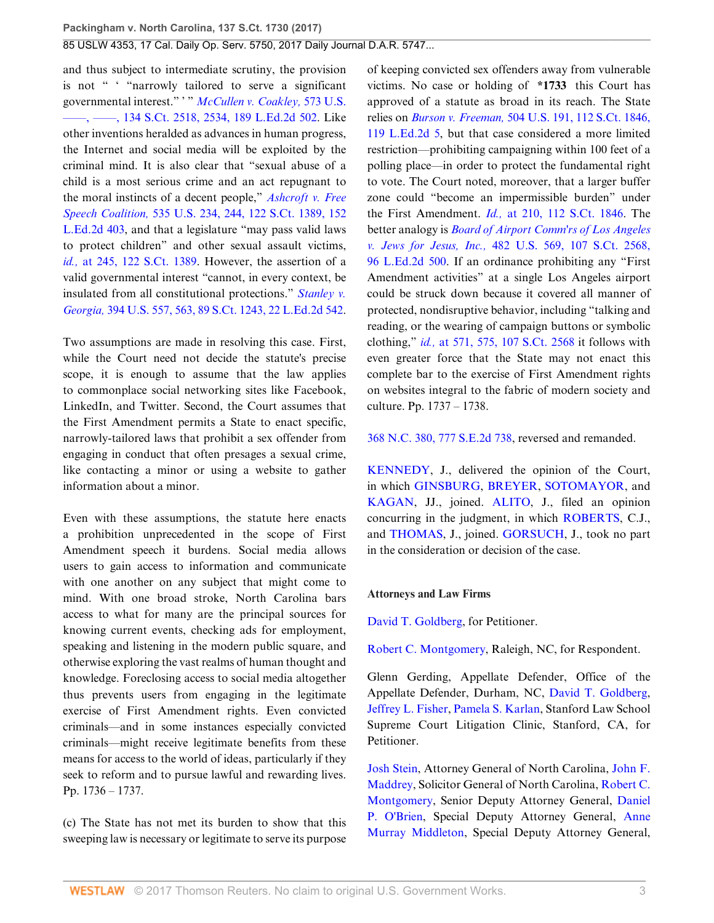and thus subject to intermediate scrutiny, the provision is not " ' "narrowly tailored to serve a significant governmental interest." ' " *[McCullen v. Coakley,](http://www.westlaw.com/Link/Document/FullText?findType=Y&serNum=2033678859&pubNum=0000708&originatingDoc=I6ee1aafe54f611e7b73588f1a9cfce05&refType=RP&fi=co_pp_sp_708_2534&originationContext=document&vr=3.0&rs=cblt1.0&transitionType=DocumentItem&contextData=(sc.UserEnteredCitation)#co_pp_sp_708_2534)* 573 U.S. [––––, ––––, 134 S.Ct. 2518, 2534, 189 L.Ed.2d 502.](http://www.westlaw.com/Link/Document/FullText?findType=Y&serNum=2033678859&pubNum=0000708&originatingDoc=I6ee1aafe54f611e7b73588f1a9cfce05&refType=RP&fi=co_pp_sp_708_2534&originationContext=document&vr=3.0&rs=cblt1.0&transitionType=DocumentItem&contextData=(sc.UserEnteredCitation)#co_pp_sp_708_2534) Like other inventions heralded as advances in human progress, the Internet and social media will be exploited by the criminal mind. It is also clear that "sexual abuse of a child is a most serious crime and an act repugnant to the moral instincts of a decent people," *[Ashcroft v. Free](http://www.westlaw.com/Link/Document/FullText?findType=Y&serNum=2002243889&pubNum=0000708&originatingDoc=I6ee1aafe54f611e7b73588f1a9cfce05&refType=RP&originationContext=document&vr=3.0&rs=cblt1.0&transitionType=DocumentItem&contextData=(sc.UserEnteredCitation)) Speech Coalition,* [535 U.S. 234, 244, 122 S.Ct. 1389, 152](http://www.westlaw.com/Link/Document/FullText?findType=Y&serNum=2002243889&pubNum=0000708&originatingDoc=I6ee1aafe54f611e7b73588f1a9cfce05&refType=RP&originationContext=document&vr=3.0&rs=cblt1.0&transitionType=DocumentItem&contextData=(sc.UserEnteredCitation)) [L.Ed.2d 403,](http://www.westlaw.com/Link/Document/FullText?findType=Y&serNum=2002243889&pubNum=0000708&originatingDoc=I6ee1aafe54f611e7b73588f1a9cfce05&refType=RP&originationContext=document&vr=3.0&rs=cblt1.0&transitionType=DocumentItem&contextData=(sc.UserEnteredCitation)) and that a legislature "may pass valid laws to protect children" and other sexual assault victims, *id.,* [at 245, 122 S.Ct. 1389.](http://www.westlaw.com/Link/Document/FullText?findType=Y&serNum=2002243889&pubNum=0000708&originatingDoc=I6ee1aafe54f611e7b73588f1a9cfce05&refType=RP&originationContext=document&vr=3.0&rs=cblt1.0&transitionType=DocumentItem&contextData=(sc.UserEnteredCitation)) However, the assertion of a valid governmental interest "cannot, in every context, be insulated from all constitutional protections." *[Stanley v.](http://www.westlaw.com/Link/Document/FullText?findType=Y&serNum=1969132965&pubNum=0000708&originatingDoc=I6ee1aafe54f611e7b73588f1a9cfce05&refType=RP&originationContext=document&vr=3.0&rs=cblt1.0&transitionType=DocumentItem&contextData=(sc.UserEnteredCitation)) Georgia,* [394 U.S. 557, 563, 89 S.Ct. 1243, 22 L.Ed.2d 542](http://www.westlaw.com/Link/Document/FullText?findType=Y&serNum=1969132965&pubNum=0000708&originatingDoc=I6ee1aafe54f611e7b73588f1a9cfce05&refType=RP&originationContext=document&vr=3.0&rs=cblt1.0&transitionType=DocumentItem&contextData=(sc.UserEnteredCitation)).

Two assumptions are made in resolving this case. First, while the Court need not decide the statute's precise scope, it is enough to assume that the law applies to commonplace social networking sites like Facebook, LinkedIn, and Twitter. Second, the Court assumes that the First Amendment permits a State to enact specific, narrowly-tailored laws that prohibit a sex offender from engaging in conduct that often presages a sexual crime, like contacting a minor or using a website to gather information about a minor.

Even with these assumptions, the statute here enacts a prohibition unprecedented in the scope of First Amendment speech it burdens. Social media allows users to gain access to information and communicate with one another on any subject that might come to mind. With one broad stroke, North Carolina bars access to what for many are the principal sources for knowing current events, checking ads for employment, speaking and listening in the modern public square, and otherwise exploring the vast realms of human thought and knowledge. Foreclosing access to social media altogether thus prevents users from engaging in the legitimate exercise of First Amendment rights. Even convicted criminals—and in some instances especially convicted criminals—might receive legitimate benefits from these means for access to the world of ideas, particularly if they seek to reform and to pursue lawful and rewarding lives. Pp. 1736 – 1737.

(c) The State has not met its burden to show that this sweeping law is necessary or legitimate to serve its purpose of keeping convicted sex offenders away from vulnerable victims. No case or holding of **\*1733** this Court has approved of a statute as broad in its reach. The State relies on *Burson v. Freeman,* [504 U.S. 191, 112 S.Ct. 1846,](http://www.westlaw.com/Link/Document/FullText?findType=Y&serNum=1992095635&pubNum=0000708&originatingDoc=I6ee1aafe54f611e7b73588f1a9cfce05&refType=RP&originationContext=document&vr=3.0&rs=cblt1.0&transitionType=DocumentItem&contextData=(sc.UserEnteredCitation)) [119 L.Ed.2d 5](http://www.westlaw.com/Link/Document/FullText?findType=Y&serNum=1992095635&pubNum=0000708&originatingDoc=I6ee1aafe54f611e7b73588f1a9cfce05&refType=RP&originationContext=document&vr=3.0&rs=cblt1.0&transitionType=DocumentItem&contextData=(sc.UserEnteredCitation)), but that case considered a more limited restriction—prohibiting campaigning within 100 feet of a polling place—in order to protect the fundamental right to vote. The Court noted, moreover, that a larger buffer zone could "become an impermissible burden" under the First Amendment. *Id.,* [at 210, 112 S.Ct. 1846.](http://www.westlaw.com/Link/Document/FullText?findType=Y&serNum=1992095635&pubNum=0000708&originatingDoc=I6ee1aafe54f611e7b73588f1a9cfce05&refType=RP&originationContext=document&vr=3.0&rs=cblt1.0&transitionType=DocumentItem&contextData=(sc.UserEnteredCitation)) The better analogy is *[Board of Airport Comm'rs of Los Angeles](http://www.westlaw.com/Link/Document/FullText?findType=Y&serNum=1987074418&pubNum=0000708&originatingDoc=I6ee1aafe54f611e7b73588f1a9cfce05&refType=RP&originationContext=document&vr=3.0&rs=cblt1.0&transitionType=DocumentItem&contextData=(sc.UserEnteredCitation)) v. Jews for Jesus, Inc.,* [482 U.S. 569, 107 S.Ct. 2568,](http://www.westlaw.com/Link/Document/FullText?findType=Y&serNum=1987074418&pubNum=0000708&originatingDoc=I6ee1aafe54f611e7b73588f1a9cfce05&refType=RP&originationContext=document&vr=3.0&rs=cblt1.0&transitionType=DocumentItem&contextData=(sc.UserEnteredCitation)) [96 L.Ed.2d 500.](http://www.westlaw.com/Link/Document/FullText?findType=Y&serNum=1987074418&pubNum=0000708&originatingDoc=I6ee1aafe54f611e7b73588f1a9cfce05&refType=RP&originationContext=document&vr=3.0&rs=cblt1.0&transitionType=DocumentItem&contextData=(sc.UserEnteredCitation)) If an ordinance prohibiting any "First Amendment activities" at a single Los Angeles airport could be struck down because it covered all manner of protected, nondisruptive behavior, including "talking and reading, or the wearing of campaign buttons or symbolic clothing," *id.,* [at 571, 575, 107 S.Ct. 2568](http://www.westlaw.com/Link/Document/FullText?findType=Y&serNum=1987074418&pubNum=0000708&originatingDoc=I6ee1aafe54f611e7b73588f1a9cfce05&refType=RP&originationContext=document&vr=3.0&rs=cblt1.0&transitionType=DocumentItem&contextData=(sc.UserEnteredCitation)) it follows with even greater force that the State may not enact this complete bar to the exercise of First Amendment rights on websites integral to the fabric of modern society and culture. Pp. 1737 – 1738.

[368 N.C. 380, 777 S.E.2d 738](http://www.westlaw.com/Link/Document/FullText?findType=Y&serNum=2037553454&pubNum=0000711&originatingDoc=I6ee1aafe54f611e7b73588f1a9cfce05&refType=RP&originationContext=document&vr=3.0&rs=cblt1.0&transitionType=DocumentItem&contextData=(sc.UserEnteredCitation)), reversed and remanded.

[KENNEDY,](http://www.westlaw.com/Link/Document/FullText?findType=h&pubNum=176284&cite=0243105201&originatingDoc=I6ee1aafe54f611e7b73588f1a9cfce05&refType=RQ&originationContext=document&vr=3.0&rs=cblt1.0&transitionType=DocumentItem&contextData=(sc.UserEnteredCitation)) J., delivered the opinion of the Court, in which [GINSBURG](http://www.westlaw.com/Link/Document/FullText?findType=h&pubNum=176284&cite=0224420501&originatingDoc=I6ee1aafe54f611e7b73588f1a9cfce05&refType=RQ&originationContext=document&vr=3.0&rs=cblt1.0&transitionType=DocumentItem&contextData=(sc.UserEnteredCitation)), [BREYER](http://www.westlaw.com/Link/Document/FullText?findType=h&pubNum=176284&cite=0254766801&originatingDoc=I6ee1aafe54f611e7b73588f1a9cfce05&refType=RQ&originationContext=document&vr=3.0&rs=cblt1.0&transitionType=DocumentItem&contextData=(sc.UserEnteredCitation)), [SOTOMAYOR,](http://www.westlaw.com/Link/Document/FullText?findType=h&pubNum=176284&cite=0145172701&originatingDoc=I6ee1aafe54f611e7b73588f1a9cfce05&refType=RQ&originationContext=document&vr=3.0&rs=cblt1.0&transitionType=DocumentItem&contextData=(sc.UserEnteredCitation)) and [KAGAN](http://www.westlaw.com/Link/Document/FullText?findType=h&pubNum=176284&cite=0301239401&originatingDoc=I6ee1aafe54f611e7b73588f1a9cfce05&refType=RQ&originationContext=document&vr=3.0&rs=cblt1.0&transitionType=DocumentItem&contextData=(sc.UserEnteredCitation)), JJ., joined. [ALITO,](http://www.westlaw.com/Link/Document/FullText?findType=h&pubNum=176284&cite=0153052401&originatingDoc=I6ee1aafe54f611e7b73588f1a9cfce05&refType=RQ&originationContext=document&vr=3.0&rs=cblt1.0&transitionType=DocumentItem&contextData=(sc.UserEnteredCitation)) J., filed an opinion concurring in the judgment, in which [ROBERTS,](http://www.westlaw.com/Link/Document/FullText?findType=h&pubNum=176284&cite=0258116001&originatingDoc=I6ee1aafe54f611e7b73588f1a9cfce05&refType=RQ&originationContext=document&vr=3.0&rs=cblt1.0&transitionType=DocumentItem&contextData=(sc.UserEnteredCitation)) C.J., and [THOMAS,](http://www.westlaw.com/Link/Document/FullText?findType=h&pubNum=176284&cite=0216654601&originatingDoc=I6ee1aafe54f611e7b73588f1a9cfce05&refType=RQ&originationContext=document&vr=3.0&rs=cblt1.0&transitionType=DocumentItem&contextData=(sc.UserEnteredCitation)) J., joined. [GORSUCH](http://www.westlaw.com/Link/Document/FullText?findType=h&pubNum=176284&cite=0183411701&originatingDoc=I6ee1aafe54f611e7b73588f1a9cfce05&refType=RQ&originationContext=document&vr=3.0&rs=cblt1.0&transitionType=DocumentItem&contextData=(sc.UserEnteredCitation)), J., took no part in the consideration or decision of the case.

#### **Attorneys and Law Firms**

[David T. Goldberg,](http://www.westlaw.com/Link/Document/FullText?findType=h&pubNum=176284&cite=0366382601&originatingDoc=I6ee1aafe54f611e7b73588f1a9cfce05&refType=RQ&originationContext=document&vr=3.0&rs=cblt1.0&transitionType=DocumentItem&contextData=(sc.UserEnteredCitation)) for Petitioner.

[Robert C. Montgomery](http://www.westlaw.com/Link/Document/FullText?findType=h&pubNum=176284&cite=0110405601&originatingDoc=I6ee1aafe54f611e7b73588f1a9cfce05&refType=RQ&originationContext=document&vr=3.0&rs=cblt1.0&transitionType=DocumentItem&contextData=(sc.UserEnteredCitation)), Raleigh, NC, for Respondent.

Glenn Gerding, Appellate Defender, Office of the Appellate Defender, Durham, NC, [David T. Goldberg](http://www.westlaw.com/Link/Document/FullText?findType=h&pubNum=176284&cite=0366382601&originatingDoc=I6ee1aafe54f611e7b73588f1a9cfce05&refType=RQ&originationContext=document&vr=3.0&rs=cblt1.0&transitionType=DocumentItem&contextData=(sc.UserEnteredCitation)), [Jeffrey L. Fisher](http://www.westlaw.com/Link/Document/FullText?findType=h&pubNum=176284&cite=0329963701&originatingDoc=I6ee1aafe54f611e7b73588f1a9cfce05&refType=RQ&originationContext=document&vr=3.0&rs=cblt1.0&transitionType=DocumentItem&contextData=(sc.UserEnteredCitation)), [Pamela S. Karlan](http://www.westlaw.com/Link/Document/FullText?findType=h&pubNum=176284&cite=0471597101&originatingDoc=I6ee1aafe54f611e7b73588f1a9cfce05&refType=RQ&originationContext=document&vr=3.0&rs=cblt1.0&transitionType=DocumentItem&contextData=(sc.UserEnteredCitation)), Stanford Law School Supreme Court Litigation Clinic, Stanford, CA, for Petitioner.

[Josh Stein](http://www.westlaw.com/Link/Document/FullText?findType=h&pubNum=176284&cite=0281418001&originatingDoc=I6ee1aafe54f611e7b73588f1a9cfce05&refType=RQ&originationContext=document&vr=3.0&rs=cblt1.0&transitionType=DocumentItem&contextData=(sc.UserEnteredCitation)), Attorney General of North Carolina, [John F.](http://www.westlaw.com/Link/Document/FullText?findType=h&pubNum=176284&cite=0466386501&originatingDoc=I6ee1aafe54f611e7b73588f1a9cfce05&refType=RQ&originationContext=document&vr=3.0&rs=cblt1.0&transitionType=DocumentItem&contextData=(sc.UserEnteredCitation)) [Maddrey](http://www.westlaw.com/Link/Document/FullText?findType=h&pubNum=176284&cite=0466386501&originatingDoc=I6ee1aafe54f611e7b73588f1a9cfce05&refType=RQ&originationContext=document&vr=3.0&rs=cblt1.0&transitionType=DocumentItem&contextData=(sc.UserEnteredCitation)), Solicitor General of North Carolina, [Robert C.](http://www.westlaw.com/Link/Document/FullText?findType=h&pubNum=176284&cite=0110405601&originatingDoc=I6ee1aafe54f611e7b73588f1a9cfce05&refType=RQ&originationContext=document&vr=3.0&rs=cblt1.0&transitionType=DocumentItem&contextData=(sc.UserEnteredCitation)) [Montgomery](http://www.westlaw.com/Link/Document/FullText?findType=h&pubNum=176284&cite=0110405601&originatingDoc=I6ee1aafe54f611e7b73588f1a9cfce05&refType=RQ&originationContext=document&vr=3.0&rs=cblt1.0&transitionType=DocumentItem&contextData=(sc.UserEnteredCitation)), Senior Deputy Attorney General, [Daniel](http://www.westlaw.com/Link/Document/FullText?findType=h&pubNum=176284&cite=0136435501&originatingDoc=I6ee1aafe54f611e7b73588f1a9cfce05&refType=RQ&originationContext=document&vr=3.0&rs=cblt1.0&transitionType=DocumentItem&contextData=(sc.UserEnteredCitation)) [P. O'Brien,](http://www.westlaw.com/Link/Document/FullText?findType=h&pubNum=176284&cite=0136435501&originatingDoc=I6ee1aafe54f611e7b73588f1a9cfce05&refType=RQ&originationContext=document&vr=3.0&rs=cblt1.0&transitionType=DocumentItem&contextData=(sc.UserEnteredCitation)) Special Deputy Attorney General, [Anne](http://www.westlaw.com/Link/Document/FullText?findType=h&pubNum=176284&cite=0119737801&originatingDoc=I6ee1aafe54f611e7b73588f1a9cfce05&refType=RQ&originationContext=document&vr=3.0&rs=cblt1.0&transitionType=DocumentItem&contextData=(sc.UserEnteredCitation)) [Murray Middleton](http://www.westlaw.com/Link/Document/FullText?findType=h&pubNum=176284&cite=0119737801&originatingDoc=I6ee1aafe54f611e7b73588f1a9cfce05&refType=RQ&originationContext=document&vr=3.0&rs=cblt1.0&transitionType=DocumentItem&contextData=(sc.UserEnteredCitation)), Special Deputy Attorney General,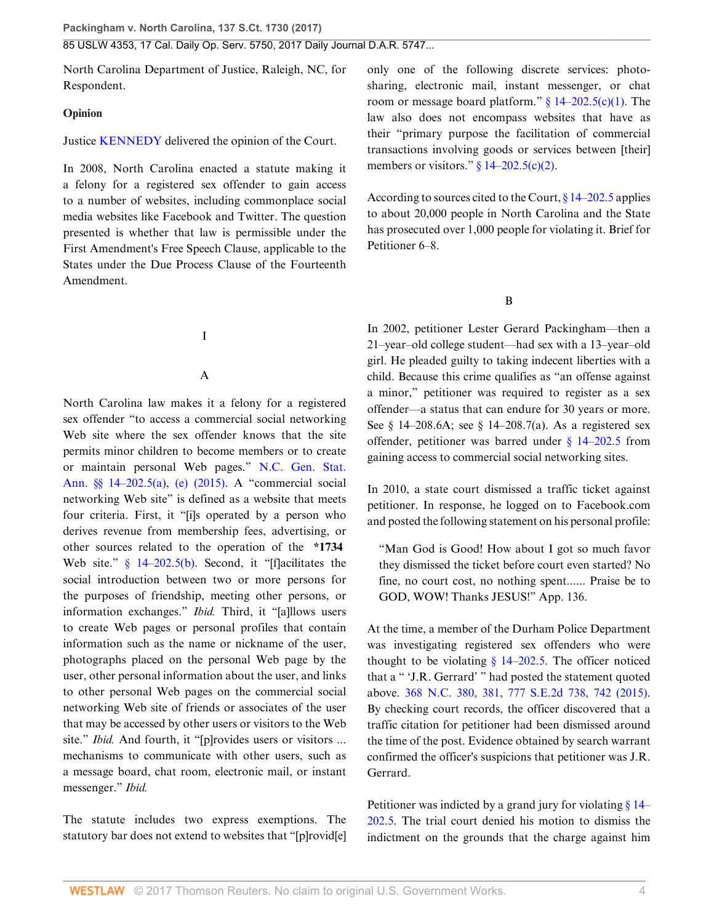North Carolina Department of Justice, Raleigh, NC, for Respondent.

### **Opinion**

Justice [KENNEDY](http://www.westlaw.com/Link/Document/FullText?findType=h&pubNum=176284&cite=0243105201&originatingDoc=I6ee1aafe54f611e7b73588f1a9cfce05&refType=RQ&originationContext=document&vr=3.0&rs=cblt1.0&transitionType=DocumentItem&contextData=(sc.UserEnteredCitation)) delivered the opinion of the Court.

In 2008, North Carolina enacted a statute making it a felony for a registered sex offender to gain access to a number of websites, including commonplace social media websites like Facebook and Twitter. The question presented is whether that law is permissible under the First Amendment's Free Speech Clause, applicable to the States under the Due Process Clause of the Fourteenth Amendment.

I

### A

North Carolina law makes it a felony for a registered sex offender "to access a commercial social networking Web site where the sex offender knows that the site permits minor children to become members or to create or maintain personal Web pages." [N.C. Gen. Stat.](http://www.westlaw.com/Link/Document/FullText?findType=L&pubNum=1000037&cite=NCSTS14-202.5&originatingDoc=I6ee1aafe54f611e7b73588f1a9cfce05&refType=SP&originationContext=document&vr=3.0&rs=cblt1.0&transitionType=DocumentItem&contextData=(sc.UserEnteredCitation)#co_pp_8b3b0000958a4) [Ann. §§ 14–202.5\(a\),](http://www.westlaw.com/Link/Document/FullText?findType=L&pubNum=1000037&cite=NCSTS14-202.5&originatingDoc=I6ee1aafe54f611e7b73588f1a9cfce05&refType=SP&originationContext=document&vr=3.0&rs=cblt1.0&transitionType=DocumentItem&contextData=(sc.UserEnteredCitation)#co_pp_8b3b0000958a4) [\(e\) \(2015\).](http://www.westlaw.com/Link/Document/FullText?findType=L&pubNum=1000037&cite=NCSTS14-202.5&originatingDoc=I6ee1aafe54f611e7b73588f1a9cfce05&refType=SP&originationContext=document&vr=3.0&rs=cblt1.0&transitionType=DocumentItem&contextData=(sc.UserEnteredCitation)#co_pp_7fdd00001ca15) A "commercial social networking Web site" is defined as a website that meets four criteria. First, it "[i]s operated by a person who derives revenue from membership fees, advertising, or other sources related to the operation of the **\*1734** Web site."  $\frac{6}{9}$  14–202.5(b). Second, it "[f]acilitates the social introduction between two or more persons for the purposes of friendship, meeting other persons, or information exchanges." *Ibid.* Third, it "[a]llows users to create Web pages or personal profiles that contain information such as the name or nickname of the user, photographs placed on the personal Web page by the user, other personal information about the user, and links to other personal Web pages on the commercial social networking Web site of friends or associates of the user that may be accessed by other users or visitors to the Web site." *Ibid.* And fourth, it "[p]rovides users or visitors ... mechanisms to communicate with other users, such as a message board, chat room, electronic mail, or instant messenger." *Ibid.*

The statute includes two express exemptions. The statutory bar does not extend to websites that "[p]rovid[e] only one of the following discrete services: photosharing, electronic mail, instant messenger, or chat room or message board platform."  $\frac{6}{9}$  14–202.5(c)(1). The law also does not encompass websites that have as their "primary purpose the facilitation of commercial transactions involving goods or services between [their] members or visitors."  $\S$  14–202.5(c)(2).

According to sources cited to the Court,  $\S 14-202.5$  applies to about 20,000 people in North Carolina and the State has prosecuted over 1,000 people for violating it. Brief for Petitioner 6–8.

B

In 2002, petitioner Lester Gerard Packingham—then a 21–year–old college student—had sex with a 13–year–old girl. He pleaded guilty to taking indecent liberties with a child. Because this crime qualifies as "an offense against a minor," petitioner was required to register as a sex offender—a status that can endure for 30 years or more. See § 14–208.6A; see § 14–208.7(a). As a registered sex offender, petitioner was barred under [§ 14–202.5](http://www.westlaw.com/Link/Document/FullText?findType=L&pubNum=1000037&cite=NCSTS14-202.5&originatingDoc=I6ee1aafe54f611e7b73588f1a9cfce05&refType=LQ&originationContext=document&vr=3.0&rs=cblt1.0&transitionType=DocumentItem&contextData=(sc.UserEnteredCitation)) from gaining access to commercial social networking sites.

In 2010, a state court dismissed a traffic ticket against petitioner. In response, he logged on to Facebook.com and posted the following statement on his personal profile:

"Man God is Good! How about I got so much favor they dismissed the ticket before court even started? No fine, no court cost, no nothing spent...... Praise be to GOD, WOW! Thanks JESUS!" App. 136.

At the time, a member of the Durham Police Department was investigating registered sex offenders who were thought to be violating  $\S$  14–202.5. The officer noticed that a " 'J.R. Gerrard' " had posted the statement quoted above. [368 N.C. 380, 381, 777 S.E.2d 738, 742 \(2015\)](http://www.westlaw.com/Link/Document/FullText?findType=Y&serNum=2037553454&pubNum=0000711&originatingDoc=I6ee1aafe54f611e7b73588f1a9cfce05&refType=RP&fi=co_pp_sp_711_742&originationContext=document&vr=3.0&rs=cblt1.0&transitionType=DocumentItem&contextData=(sc.UserEnteredCitation)#co_pp_sp_711_742). By checking court records, the officer discovered that a traffic citation for petitioner had been dismissed around the time of the post. Evidence obtained by search warrant confirmed the officer's suspicions that petitioner was J.R. Gerrard.

Petitioner was indicted by a grand jury for violating  $\S 14-$ [202.5.](http://www.westlaw.com/Link/Document/FullText?findType=L&pubNum=1000037&cite=NCSTS14-202.5&originatingDoc=I6ee1aafe54f611e7b73588f1a9cfce05&refType=LQ&originationContext=document&vr=3.0&rs=cblt1.0&transitionType=DocumentItem&contextData=(sc.UserEnteredCitation)) The trial court denied his motion to dismiss the indictment on the grounds that the charge against him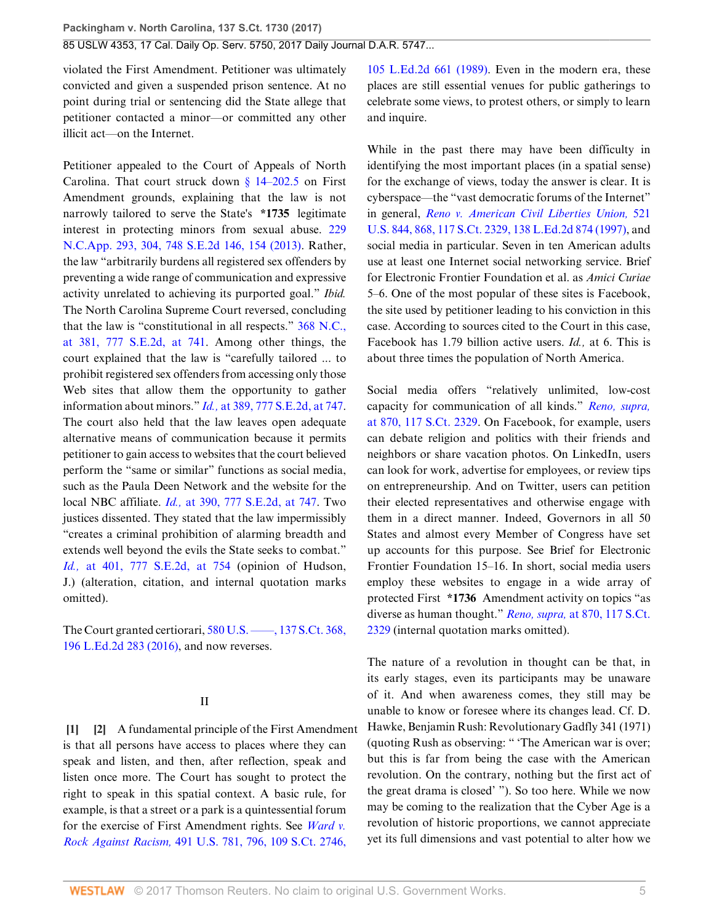violated the First Amendment. Petitioner was ultimately convicted and given a suspended prison sentence. At no point during trial or sentencing did the State allege that petitioner contacted a minor—or committed any other illicit act—on the Internet.

Petitioner appealed to the Court of Appeals of North Carolina. That court struck down  $\S$  14–202.5 on First Amendment grounds, explaining that the law is not narrowly tailored to serve the State's **\*1735** legitimate interest in protecting minors from sexual abuse. [229](http://www.westlaw.com/Link/Document/FullText?findType=Y&serNum=2031319497&pubNum=0000711&originatingDoc=I6ee1aafe54f611e7b73588f1a9cfce05&refType=RP&fi=co_pp_sp_711_154&originationContext=document&vr=3.0&rs=cblt1.0&transitionType=DocumentItem&contextData=(sc.UserEnteredCitation)#co_pp_sp_711_154) [N.C.App. 293, 304, 748 S.E.2d 146, 154 \(2013\)](http://www.westlaw.com/Link/Document/FullText?findType=Y&serNum=2031319497&pubNum=0000711&originatingDoc=I6ee1aafe54f611e7b73588f1a9cfce05&refType=RP&fi=co_pp_sp_711_154&originationContext=document&vr=3.0&rs=cblt1.0&transitionType=DocumentItem&contextData=(sc.UserEnteredCitation)#co_pp_sp_711_154). Rather, the law "arbitrarily burdens all registered sex offenders by preventing a wide range of communication and expressive activity unrelated to achieving its purported goal." *Ibid.* The North Carolina Supreme Court reversed, concluding that the law is "constitutional in all respects." [368 N.C.,](http://www.westlaw.com/Link/Document/FullText?findType=Y&serNum=2037553454&pubNum=0000711&originatingDoc=I6ee1aafe54f611e7b73588f1a9cfce05&refType=RP&fi=co_pp_sp_711_741&originationContext=document&vr=3.0&rs=cblt1.0&transitionType=DocumentItem&contextData=(sc.UserEnteredCitation)#co_pp_sp_711_741) [at 381, 777 S.E.2d, at 741](http://www.westlaw.com/Link/Document/FullText?findType=Y&serNum=2037553454&pubNum=0000711&originatingDoc=I6ee1aafe54f611e7b73588f1a9cfce05&refType=RP&fi=co_pp_sp_711_741&originationContext=document&vr=3.0&rs=cblt1.0&transitionType=DocumentItem&contextData=(sc.UserEnteredCitation)#co_pp_sp_711_741). Among other things, the court explained that the law is "carefully tailored ... to prohibit registered sex offenders from accessing only those Web sites that allow them the opportunity to gather information about minors." *Id.,* [at 389, 777 S.E.2d, at 747](http://www.westlaw.com/Link/Document/FullText?findType=Y&serNum=2037553454&pubNum=0000711&originatingDoc=I6ee1aafe54f611e7b73588f1a9cfce05&refType=RP&fi=co_pp_sp_711_747&originationContext=document&vr=3.0&rs=cblt1.0&transitionType=DocumentItem&contextData=(sc.UserEnteredCitation)#co_pp_sp_711_747). The court also held that the law leaves open adequate alternative means of communication because it permits petitioner to gain access to websites that the court believed perform the "same or similar" functions as social media, such as the Paula Deen Network and the website for the local NBC affiliate. *Id.,* [at 390, 777 S.E.2d, at 747.](http://www.westlaw.com/Link/Document/FullText?findType=Y&serNum=2037553454&pubNum=0000711&originatingDoc=I6ee1aafe54f611e7b73588f1a9cfce05&refType=RP&fi=co_pp_sp_711_747&originationContext=document&vr=3.0&rs=cblt1.0&transitionType=DocumentItem&contextData=(sc.UserEnteredCitation)#co_pp_sp_711_747) Two justices dissented. They stated that the law impermissibly "creates a criminal prohibition of alarming breadth and extends well beyond the evils the State seeks to combat." *Id.,* [at 401, 777 S.E.2d, at 754](http://www.westlaw.com/Link/Document/FullText?findType=Y&serNum=2037553454&pubNum=0000711&originatingDoc=I6ee1aafe54f611e7b73588f1a9cfce05&refType=RP&fi=co_pp_sp_711_754&originationContext=document&vr=3.0&rs=cblt1.0&transitionType=DocumentItem&contextData=(sc.UserEnteredCitation)#co_pp_sp_711_754) (opinion of Hudson, J.) (alteration, citation, and internal quotation marks omitted).

The Court granted certiorari, 580 U.S. ——, 137 S.Ct. 368, [196 L.Ed.2d 283 \(2016\),](http://www.westlaw.com/Link/Document/FullText?findType=Y&pubNum=0000708&cite=137SCT368&originatingDoc=I6ee1aafe54f611e7b73588f1a9cfce05&refType=RP&originationContext=document&vr=3.0&rs=cblt1.0&transitionType=DocumentItem&contextData=(sc.UserEnteredCitation)) and now reverses.

#### II

<span id="page-4-1"></span><span id="page-4-0"></span>**[\[1](#page-0-0)] [\[2](#page-0-1)]** A fundamental principle of the First Amendment is that all persons have access to places where they can speak and listen, and then, after reflection, speak and listen once more. The Court has sought to protect the right to speak in this spatial context. A basic rule, for example, is that a street or a park is a quintessential forum for the exercise of First Amendment rights. See *[Ward v.](http://www.westlaw.com/Link/Document/FullText?findType=Y&serNum=1989093295&pubNum=0000708&originatingDoc=I6ee1aafe54f611e7b73588f1a9cfce05&refType=RP&originationContext=document&vr=3.0&rs=cblt1.0&transitionType=DocumentItem&contextData=(sc.UserEnteredCitation)) Rock Against Racism,* [491 U.S. 781, 796, 109 S.Ct. 2746,](http://www.westlaw.com/Link/Document/FullText?findType=Y&serNum=1989093295&pubNum=0000708&originatingDoc=I6ee1aafe54f611e7b73588f1a9cfce05&refType=RP&originationContext=document&vr=3.0&rs=cblt1.0&transitionType=DocumentItem&contextData=(sc.UserEnteredCitation))

[105 L.Ed.2d 661 \(1989\)](http://www.westlaw.com/Link/Document/FullText?findType=Y&serNum=1989093295&pubNum=0000708&originatingDoc=I6ee1aafe54f611e7b73588f1a9cfce05&refType=RP&originationContext=document&vr=3.0&rs=cblt1.0&transitionType=DocumentItem&contextData=(sc.UserEnteredCitation)). Even in the modern era, these places are still essential venues for public gatherings to celebrate some views, to protest others, or simply to learn and inquire.

While in the past there may have been difficulty in identifying the most important places (in a spatial sense) for the exchange of views, today the answer is clear. It is cyberspace—the "vast democratic forums of the Internet" in general, *[Reno v. American Civil Liberties Union,](http://www.westlaw.com/Link/Document/FullText?findType=Y&serNum=1997135001&pubNum=0000708&originatingDoc=I6ee1aafe54f611e7b73588f1a9cfce05&refType=RP&originationContext=document&vr=3.0&rs=cblt1.0&transitionType=DocumentItem&contextData=(sc.UserEnteredCitation))* 521 [U.S. 844, 868, 117 S.Ct. 2329, 138 L.Ed.2d 874 \(1997\)](http://www.westlaw.com/Link/Document/FullText?findType=Y&serNum=1997135001&pubNum=0000708&originatingDoc=I6ee1aafe54f611e7b73588f1a9cfce05&refType=RP&originationContext=document&vr=3.0&rs=cblt1.0&transitionType=DocumentItem&contextData=(sc.UserEnteredCitation)), and social media in particular. Seven in ten American adults use at least one Internet social networking service. Brief for Electronic Frontier Foundation et al. as *Amici Curiae* 5–6. One of the most popular of these sites is Facebook, the site used by petitioner leading to his conviction in this case. According to sources cited to the Court in this case, Facebook has 1.79 billion active users. *Id.,* at 6. This is about three times the population of North America.

Social media offers "relatively unlimited, low-cost capacity for communication of all kinds." *[Reno, supra,](http://www.westlaw.com/Link/Document/FullText?findType=Y&serNum=1997135001&pubNum=0000708&originatingDoc=I6ee1aafe54f611e7b73588f1a9cfce05&refType=RP&originationContext=document&vr=3.0&rs=cblt1.0&transitionType=DocumentItem&contextData=(sc.UserEnteredCitation))* [at 870, 117 S.Ct. 2329.](http://www.westlaw.com/Link/Document/FullText?findType=Y&serNum=1997135001&pubNum=0000708&originatingDoc=I6ee1aafe54f611e7b73588f1a9cfce05&refType=RP&originationContext=document&vr=3.0&rs=cblt1.0&transitionType=DocumentItem&contextData=(sc.UserEnteredCitation)) On Facebook, for example, users can debate religion and politics with their friends and neighbors or share vacation photos. On LinkedIn, users can look for work, advertise for employees, or review tips on entrepreneurship. And on Twitter, users can petition their elected representatives and otherwise engage with them in a direct manner. Indeed, Governors in all 50 States and almost every Member of Congress have set up accounts for this purpose. See Brief for Electronic Frontier Foundation 15–16. In short, social media users employ these websites to engage in a wide array of protected First **\*1736** Amendment activity on topics "as diverse as human thought." *Reno, supra,* [at 870, 117 S.Ct.](http://www.westlaw.com/Link/Document/FullText?findType=Y&serNum=1997135001&pubNum=0000708&originatingDoc=I6ee1aafe54f611e7b73588f1a9cfce05&refType=RP&originationContext=document&vr=3.0&rs=cblt1.0&transitionType=DocumentItem&contextData=(sc.UserEnteredCitation)) [2329](http://www.westlaw.com/Link/Document/FullText?findType=Y&serNum=1997135001&pubNum=0000708&originatingDoc=I6ee1aafe54f611e7b73588f1a9cfce05&refType=RP&originationContext=document&vr=3.0&rs=cblt1.0&transitionType=DocumentItem&contextData=(sc.UserEnteredCitation)) (internal quotation marks omitted).

The nature of a revolution in thought can be that, in its early stages, even its participants may be unaware of it. And when awareness comes, they still may be unable to know or foresee where its changes lead. Cf. D. Hawke, Benjamin Rush: Revolutionary Gadfly 341 (1971) (quoting Rush as observing: " 'The American war is over; but this is far from being the case with the American revolution. On the contrary, nothing but the first act of the great drama is closed' "). So too here. While we now may be coming to the realization that the Cyber Age is a revolution of historic proportions, we cannot appreciate yet its full dimensions and vast potential to alter how we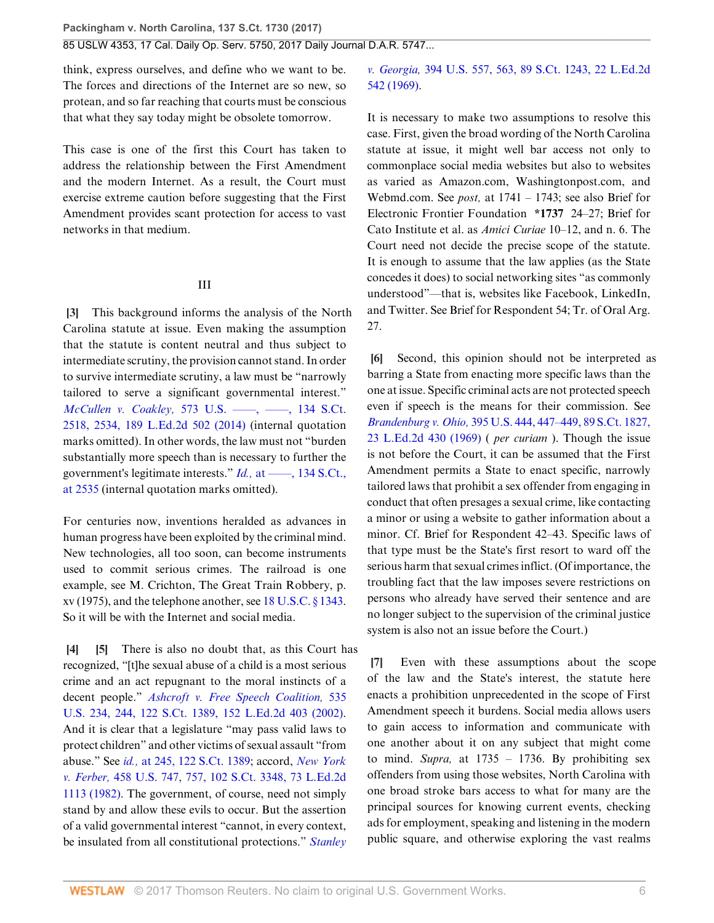think, express ourselves, and define who we want to be. The forces and directions of the Internet are so new, so protean, and so far reaching that courts must be conscious that what they say today might be obsolete tomorrow.

This case is one of the first this Court has taken to address the relationship between the First Amendment and the modern Internet. As a result, the Court must exercise extreme caution before suggesting that the First Amendment provides scant protection for access to vast networks in that medium.

#### III

<span id="page-5-0"></span>**[\[3](#page-0-2)]** This background informs the analysis of the North Carolina statute at issue. Even making the assumption that the statute is content neutral and thus subject to intermediate scrutiny, the provision cannot stand. In order to survive intermediate scrutiny, a law must be "narrowly tailored to serve a significant governmental interest." *McCullen v. Coakley, 573 U.S.* —–, —–, 134 S.Ct. [2518, 2534, 189 L.Ed.2d 502 \(2014\)](http://www.westlaw.com/Link/Document/FullText?findType=Y&serNum=2033678859&pubNum=0000708&originatingDoc=I6ee1aafe54f611e7b73588f1a9cfce05&refType=RP&fi=co_pp_sp_708_2534&originationContext=document&vr=3.0&rs=cblt1.0&transitionType=DocumentItem&contextData=(sc.UserEnteredCitation)#co_pp_sp_708_2534) (internal quotation marks omitted). In other words, the law must not "burden substantially more speech than is necessary to further the government's legitimate interests." *Id.*, at ----, 134 S.Ct., [at 2535](http://www.westlaw.com/Link/Document/FullText?findType=Y&serNum=2033678859&pubNum=0000708&originatingDoc=I6ee1aafe54f611e7b73588f1a9cfce05&refType=RP&fi=co_pp_sp_708_2535&originationContext=document&vr=3.0&rs=cblt1.0&transitionType=DocumentItem&contextData=(sc.UserEnteredCitation)#co_pp_sp_708_2535) (internal quotation marks omitted).

For centuries now, inventions heralded as advances in human progress have been exploited by the criminal mind. New technologies, all too soon, can become instruments used to commit serious crimes. The railroad is one example, see M. Crichton, The Great Train Robbery, p. xv (1975), and the telephone another, see [18 U.S.C. § 1343](http://www.westlaw.com/Link/Document/FullText?findType=L&pubNum=1000546&cite=18USCAS1343&originatingDoc=I6ee1aafe54f611e7b73588f1a9cfce05&refType=LQ&originationContext=document&vr=3.0&rs=cblt1.0&transitionType=DocumentItem&contextData=(sc.UserEnteredCitation)). So it will be with the Internet and social media.

<span id="page-5-2"></span><span id="page-5-1"></span>**[\[4](#page-0-3)] [\[5\]](#page-0-4)** There is also no doubt that, as this Court has recognized, "[t]he sexual abuse of a child is a most serious crime and an act repugnant to the moral instincts of a decent people." *[Ashcroft v. Free Speech Coalition,](http://www.westlaw.com/Link/Document/FullText?findType=Y&serNum=2002243889&pubNum=0000708&originatingDoc=I6ee1aafe54f611e7b73588f1a9cfce05&refType=RP&originationContext=document&vr=3.0&rs=cblt1.0&transitionType=DocumentItem&contextData=(sc.UserEnteredCitation))* 535 [U.S. 234, 244, 122 S.Ct. 1389, 152 L.Ed.2d 403 \(2002\)](http://www.westlaw.com/Link/Document/FullText?findType=Y&serNum=2002243889&pubNum=0000708&originatingDoc=I6ee1aafe54f611e7b73588f1a9cfce05&refType=RP&originationContext=document&vr=3.0&rs=cblt1.0&transitionType=DocumentItem&contextData=(sc.UserEnteredCitation)). And it is clear that a legislature "may pass valid laws to protect children" and other victims of sexual assault "from abuse." See *id.,* [at 245, 122 S.Ct. 1389;](http://www.westlaw.com/Link/Document/FullText?findType=Y&serNum=2002243889&pubNum=0000708&originatingDoc=I6ee1aafe54f611e7b73588f1a9cfce05&refType=RP&originationContext=document&vr=3.0&rs=cblt1.0&transitionType=DocumentItem&contextData=(sc.UserEnteredCitation)) accord, *[New York](http://www.westlaw.com/Link/Document/FullText?findType=Y&serNum=1982130116&pubNum=0000708&originatingDoc=I6ee1aafe54f611e7b73588f1a9cfce05&refType=RP&originationContext=document&vr=3.0&rs=cblt1.0&transitionType=DocumentItem&contextData=(sc.UserEnteredCitation)) v. Ferber,* [458 U.S. 747, 757, 102 S.Ct. 3348, 73 L.Ed.2d](http://www.westlaw.com/Link/Document/FullText?findType=Y&serNum=1982130116&pubNum=0000708&originatingDoc=I6ee1aafe54f611e7b73588f1a9cfce05&refType=RP&originationContext=document&vr=3.0&rs=cblt1.0&transitionType=DocumentItem&contextData=(sc.UserEnteredCitation)) [1113 \(1982\)](http://www.westlaw.com/Link/Document/FullText?findType=Y&serNum=1982130116&pubNum=0000708&originatingDoc=I6ee1aafe54f611e7b73588f1a9cfce05&refType=RP&originationContext=document&vr=3.0&rs=cblt1.0&transitionType=DocumentItem&contextData=(sc.UserEnteredCitation)). The government, of course, need not simply stand by and allow these evils to occur. But the assertion of a valid governmental interest "cannot, in every context, be insulated from all constitutional protections." *[Stanley](http://www.westlaw.com/Link/Document/FullText?findType=Y&serNum=1969132965&pubNum=0000708&originatingDoc=I6ee1aafe54f611e7b73588f1a9cfce05&refType=RP&originationContext=document&vr=3.0&rs=cblt1.0&transitionType=DocumentItem&contextData=(sc.UserEnteredCitation))*

### *v. Georgia,* [394 U.S. 557, 563, 89 S.Ct. 1243, 22 L.Ed.2d](http://www.westlaw.com/Link/Document/FullText?findType=Y&serNum=1969132965&pubNum=0000708&originatingDoc=I6ee1aafe54f611e7b73588f1a9cfce05&refType=RP&originationContext=document&vr=3.0&rs=cblt1.0&transitionType=DocumentItem&contextData=(sc.UserEnteredCitation)) [542 \(1969\)](http://www.westlaw.com/Link/Document/FullText?findType=Y&serNum=1969132965&pubNum=0000708&originatingDoc=I6ee1aafe54f611e7b73588f1a9cfce05&refType=RP&originationContext=document&vr=3.0&rs=cblt1.0&transitionType=DocumentItem&contextData=(sc.UserEnteredCitation)).

It is necessary to make two assumptions to resolve this case. First, given the broad wording of the North Carolina statute at issue, it might well bar access not only to commonplace social media websites but also to websites as varied as Amazon.com, Washingtonpost.com, and Webmd.com. See *post,* at 1741 – 1743; see also Brief for Electronic Frontier Foundation **\*1737** 24–27; Brief for Cato Institute et al. as *Amici Curiae* 10–12, and n. 6. The Court need not decide the precise scope of the statute. It is enough to assume that the law applies (as the State concedes it does) to social networking sites "as commonly understood"—that is, websites like Facebook, LinkedIn, and Twitter. See Brief for Respondent 54; Tr. of Oral Arg. 27.

<span id="page-5-3"></span>**[\[6](#page-1-1)]** Second, this opinion should not be interpreted as barring a State from enacting more specific laws than the one at issue. Specific criminal acts are not protected speech even if speech is the means for their commission. See *Brandenburg v. Ohio,* [395 U.S. 444, 447–449, 89 S.Ct. 1827,](http://www.westlaw.com/Link/Document/FullText?findType=Y&serNum=1969133007&pubNum=0000708&originatingDoc=I6ee1aafe54f611e7b73588f1a9cfce05&refType=RP&originationContext=document&vr=3.0&rs=cblt1.0&transitionType=DocumentItem&contextData=(sc.UserEnteredCitation)) [23 L.Ed.2d 430 \(1969\)](http://www.westlaw.com/Link/Document/FullText?findType=Y&serNum=1969133007&pubNum=0000708&originatingDoc=I6ee1aafe54f611e7b73588f1a9cfce05&refType=RP&originationContext=document&vr=3.0&rs=cblt1.0&transitionType=DocumentItem&contextData=(sc.UserEnteredCitation)) ( *per curiam* ). Though the issue is not before the Court, it can be assumed that the First Amendment permits a State to enact specific, narrowly tailored laws that prohibit a sex offender from engaging in conduct that often presages a sexual crime, like contacting a minor or using a website to gather information about a minor. Cf. Brief for Respondent 42–43. Specific laws of that type must be the State's first resort to ward off the serious harm that sexual crimes inflict. (Of importance, the troubling fact that the law imposes severe restrictions on persons who already have served their sentence and are no longer subject to the supervision of the criminal justice system is also not an issue before the Court.)

<span id="page-5-4"></span>**[\[7](#page-1-0)]** Even with these assumptions about the scope of the law and the State's interest, the statute here enacts a prohibition unprecedented in the scope of First Amendment speech it burdens. Social media allows users to gain access to information and communicate with one another about it on any subject that might come to mind. *Supra,* at 1735 – 1736. By prohibiting sex offenders from using those websites, North Carolina with one broad stroke bars access to what for many are the principal sources for knowing current events, checking ads for employment, speaking and listening in the modern public square, and otherwise exploring the vast realms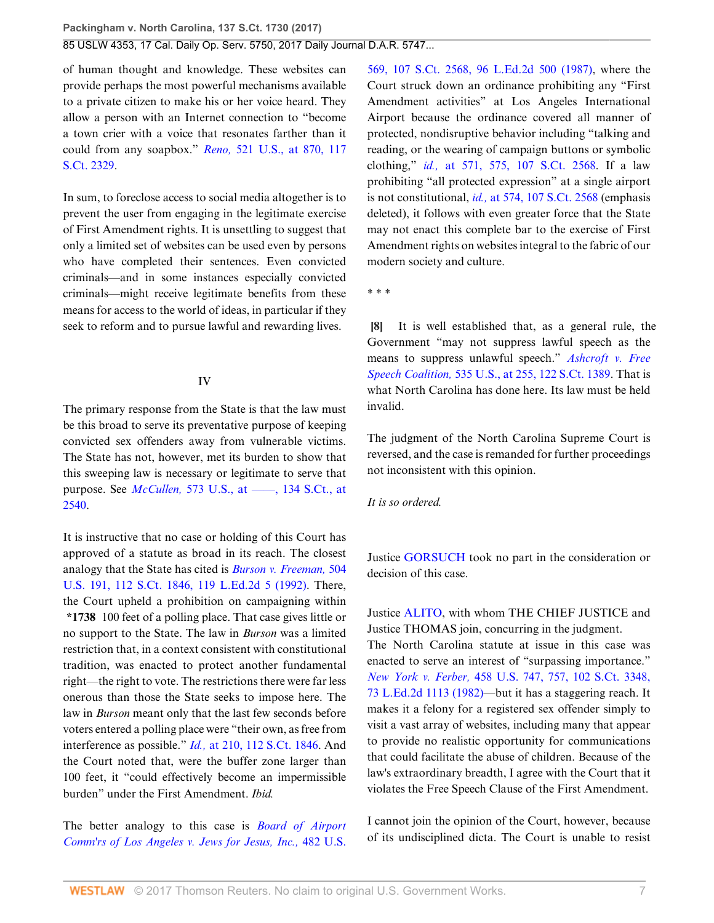of human thought and knowledge. These websites can provide perhaps the most powerful mechanisms available to a private citizen to make his or her voice heard. They allow a person with an Internet connection to "become a town crier with a voice that resonates farther than it could from any soapbox." *Reno,* [521 U.S., at 870, 117](http://www.westlaw.com/Link/Document/FullText?findType=Y&serNum=1997135001&pubNum=0000708&originatingDoc=I6ee1aafe54f611e7b73588f1a9cfce05&refType=RP&originationContext=document&vr=3.0&rs=cblt1.0&transitionType=DocumentItem&contextData=(sc.UserEnteredCitation)) [S.Ct. 2329.](http://www.westlaw.com/Link/Document/FullText?findType=Y&serNum=1997135001&pubNum=0000708&originatingDoc=I6ee1aafe54f611e7b73588f1a9cfce05&refType=RP&originationContext=document&vr=3.0&rs=cblt1.0&transitionType=DocumentItem&contextData=(sc.UserEnteredCitation))

In sum, to foreclose access to social media altogether is to prevent the user from engaging in the legitimate exercise of First Amendment rights. It is unsettling to suggest that only a limited set of websites can be used even by persons who have completed their sentences. Even convicted criminals—and in some instances especially convicted criminals—might receive legitimate benefits from these means for access to the world of ideas, in particular if they seek to reform and to pursue lawful and rewarding lives.

#### IV

The primary response from the State is that the law must be this broad to serve its preventative purpose of keeping convicted sex offenders away from vulnerable victims. The State has not, however, met its burden to show that this sweeping law is necessary or legitimate to serve that purpose. See *McCullen,* [573 U.S., at ––––, 134 S.Ct., at](http://www.westlaw.com/Link/Document/FullText?findType=Y&serNum=2033678859&pubNum=0000708&originatingDoc=I6ee1aafe54f611e7b73588f1a9cfce05&refType=RP&fi=co_pp_sp_708_2540&originationContext=document&vr=3.0&rs=cblt1.0&transitionType=DocumentItem&contextData=(sc.UserEnteredCitation)#co_pp_sp_708_2540) [2540](http://www.westlaw.com/Link/Document/FullText?findType=Y&serNum=2033678859&pubNum=0000708&originatingDoc=I6ee1aafe54f611e7b73588f1a9cfce05&refType=RP&fi=co_pp_sp_708_2540&originationContext=document&vr=3.0&rs=cblt1.0&transitionType=DocumentItem&contextData=(sc.UserEnteredCitation)#co_pp_sp_708_2540).

It is instructive that no case or holding of this Court has approved of a statute as broad in its reach. The closest analogy that the State has cited is *[Burson v. Freeman,](http://www.westlaw.com/Link/Document/FullText?findType=Y&serNum=1992095635&pubNum=0000708&originatingDoc=I6ee1aafe54f611e7b73588f1a9cfce05&refType=RP&originationContext=document&vr=3.0&rs=cblt1.0&transitionType=DocumentItem&contextData=(sc.UserEnteredCitation))* 504 [U.S. 191, 112 S.Ct. 1846, 119 L.Ed.2d 5 \(1992\).](http://www.westlaw.com/Link/Document/FullText?findType=Y&serNum=1992095635&pubNum=0000708&originatingDoc=I6ee1aafe54f611e7b73588f1a9cfce05&refType=RP&originationContext=document&vr=3.0&rs=cblt1.0&transitionType=DocumentItem&contextData=(sc.UserEnteredCitation)) There, the Court upheld a prohibition on campaigning within **\*1738** 100 feet of a polling place. That case gives little or no support to the State. The law in *Burson* was a limited restriction that, in a context consistent with constitutional tradition, was enacted to protect another fundamental right—the right to vote. The restrictions there were far less onerous than those the State seeks to impose here. The law in *Burson* meant only that the last few seconds before voters entered a polling place were "their own, as free from interference as possible." *Id.,* [at 210, 112 S.Ct. 1846.](http://www.westlaw.com/Link/Document/FullText?findType=Y&serNum=1992095635&pubNum=0000708&originatingDoc=I6ee1aafe54f611e7b73588f1a9cfce05&refType=RP&originationContext=document&vr=3.0&rs=cblt1.0&transitionType=DocumentItem&contextData=(sc.UserEnteredCitation)) And the Court noted that, were the buffer zone larger than 100 feet, it "could effectively become an impermissible burden" under the First Amendment. *Ibid.*

The better analogy to this case is *[Board of Airport](http://www.westlaw.com/Link/Document/FullText?findType=Y&serNum=1987074418&pubNum=0000708&originatingDoc=I6ee1aafe54f611e7b73588f1a9cfce05&refType=RP&originationContext=document&vr=3.0&rs=cblt1.0&transitionType=DocumentItem&contextData=(sc.UserEnteredCitation)) [Comm'rs of Los Angeles v. Jews for Jesus, Inc.,](http://www.westlaw.com/Link/Document/FullText?findType=Y&serNum=1987074418&pubNum=0000708&originatingDoc=I6ee1aafe54f611e7b73588f1a9cfce05&refType=RP&originationContext=document&vr=3.0&rs=cblt1.0&transitionType=DocumentItem&contextData=(sc.UserEnteredCitation))* 482 U.S. [569, 107 S.Ct. 2568, 96 L.Ed.2d 500 \(1987\)](http://www.westlaw.com/Link/Document/FullText?findType=Y&serNum=1987074418&pubNum=0000708&originatingDoc=I6ee1aafe54f611e7b73588f1a9cfce05&refType=RP&originationContext=document&vr=3.0&rs=cblt1.0&transitionType=DocumentItem&contextData=(sc.UserEnteredCitation)), where the Court struck down an ordinance prohibiting any "First Amendment activities" at Los Angeles International Airport because the ordinance covered all manner of protected, nondisruptive behavior including "talking and reading, or the wearing of campaign buttons or symbolic clothing," *id.,* [at 571, 575, 107 S.Ct. 2568.](http://www.westlaw.com/Link/Document/FullText?findType=Y&serNum=1987074418&pubNum=0000708&originatingDoc=I6ee1aafe54f611e7b73588f1a9cfce05&refType=RP&originationContext=document&vr=3.0&rs=cblt1.0&transitionType=DocumentItem&contextData=(sc.UserEnteredCitation)) If a law prohibiting "all protected expression" at a single airport is not constitutional, *id.,* [at 574, 107 S.Ct. 2568](http://www.westlaw.com/Link/Document/FullText?findType=Y&serNum=1987074418&pubNum=0000708&originatingDoc=I6ee1aafe54f611e7b73588f1a9cfce05&refType=RP&originationContext=document&vr=3.0&rs=cblt1.0&transitionType=DocumentItem&contextData=(sc.UserEnteredCitation)) (emphasis deleted), it follows with even greater force that the State may not enact this complete bar to the exercise of First Amendment rights on websites integral to the fabric of our modern society and culture.

\* \* \*

<span id="page-6-0"></span>**[\[8](#page-1-2)]** It is well established that, as a general rule, the Government "may not suppress lawful speech as the means to suppress unlawful speech." *[Ashcroft v. Free](http://www.westlaw.com/Link/Document/FullText?findType=Y&serNum=2002243889&pubNum=0000708&originatingDoc=I6ee1aafe54f611e7b73588f1a9cfce05&refType=RP&originationContext=document&vr=3.0&rs=cblt1.0&transitionType=DocumentItem&contextData=(sc.UserEnteredCitation)) Speech Coalition,* [535 U.S., at 255, 122 S.Ct. 1389.](http://www.westlaw.com/Link/Document/FullText?findType=Y&serNum=2002243889&pubNum=0000708&originatingDoc=I6ee1aafe54f611e7b73588f1a9cfce05&refType=RP&originationContext=document&vr=3.0&rs=cblt1.0&transitionType=DocumentItem&contextData=(sc.UserEnteredCitation)) That is what North Carolina has done here. Its law must be held invalid.

The judgment of the North Carolina Supreme Court is reversed, and the case is remanded for further proceedings not inconsistent with this opinion.

### *It is so ordered.*

Justice [GORSUCH](http://www.westlaw.com/Link/Document/FullText?findType=h&pubNum=176284&cite=0183411701&originatingDoc=I6ee1aafe54f611e7b73588f1a9cfce05&refType=RQ&originationContext=document&vr=3.0&rs=cblt1.0&transitionType=DocumentItem&contextData=(sc.UserEnteredCitation)) took no part in the consideration or decision of this case.

Justice [ALITO](http://www.westlaw.com/Link/Document/FullText?findType=h&pubNum=176284&cite=0153052401&originatingDoc=I6ee1aafe54f611e7b73588f1a9cfce05&refType=RQ&originationContext=document&vr=3.0&rs=cblt1.0&transitionType=DocumentItem&contextData=(sc.UserEnteredCitation)), with whom THE CHIEF JUSTICE and Justice THOMAS join, concurring in the judgment.

The North Carolina statute at issue in this case was enacted to serve an interest of "surpassing importance." *New York v. Ferber,* [458 U.S. 747, 757, 102 S.Ct. 3348,](http://www.westlaw.com/Link/Document/FullText?findType=Y&serNum=1982130116&pubNum=0000708&originatingDoc=I6ee1aafe54f611e7b73588f1a9cfce05&refType=RP&originationContext=document&vr=3.0&rs=cblt1.0&transitionType=DocumentItem&contextData=(sc.UserEnteredCitation)) [73 L.Ed.2d 1113 \(1982\)—](http://www.westlaw.com/Link/Document/FullText?findType=Y&serNum=1982130116&pubNum=0000708&originatingDoc=I6ee1aafe54f611e7b73588f1a9cfce05&refType=RP&originationContext=document&vr=3.0&rs=cblt1.0&transitionType=DocumentItem&contextData=(sc.UserEnteredCitation))but it has a staggering reach. It makes it a felony for a registered sex offender simply to visit a vast array of websites, including many that appear to provide no realistic opportunity for communications that could facilitate the abuse of children. Because of the law's extraordinary breadth, I agree with the Court that it violates the Free Speech Clause of the First Amendment.

I cannot join the opinion of the Court, however, because of its undisciplined dicta. The Court is unable to resist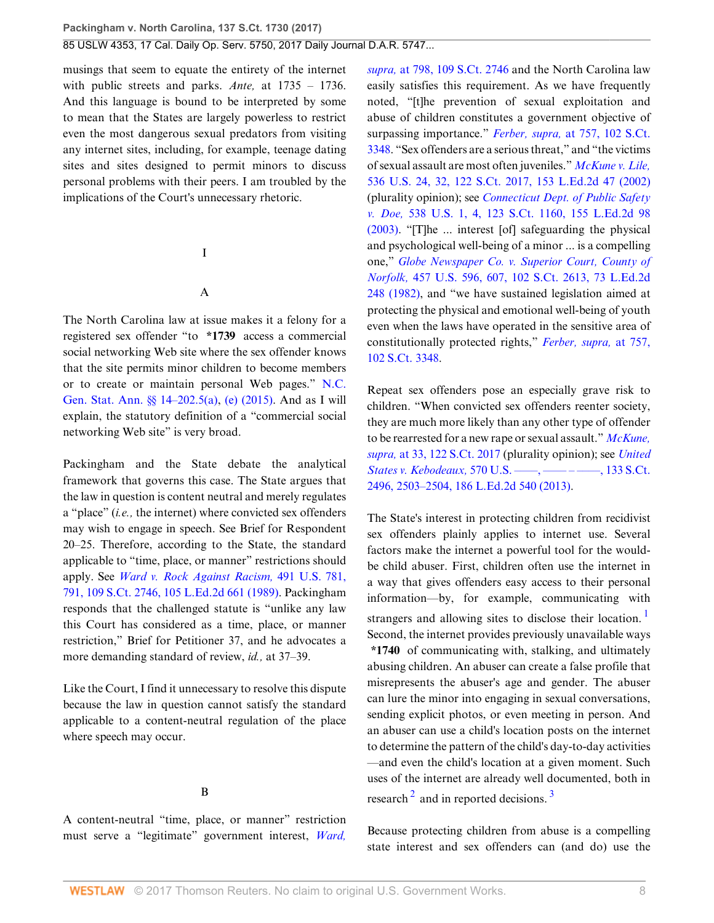musings that seem to equate the entirety of the internet with public streets and parks. *Ante,* at 1735 – 1736. And this language is bound to be interpreted by some to mean that the States are largely powerless to restrict even the most dangerous sexual predators from visiting any internet sites, including, for example, teenage dating sites and sites designed to permit minors to discuss personal problems with their peers. I am troubled by the implications of the Court's unnecessary rhetoric.

I

## A

The North Carolina law at issue makes it a felony for a registered sex offender "to **\*1739** access a commercial social networking Web site where the sex offender knows that the site permits minor children to become members or to create or maintain personal Web pages." [N.C.](http://www.westlaw.com/Link/Document/FullText?findType=L&pubNum=1000037&cite=NCSTS14-202.5&originatingDoc=I6ee1aafe54f611e7b73588f1a9cfce05&refType=SP&originationContext=document&vr=3.0&rs=cblt1.0&transitionType=DocumentItem&contextData=(sc.UserEnteredCitation)#co_pp_8b3b0000958a4) [Gen. Stat. Ann. §§ 14–202.5\(a\),](http://www.westlaw.com/Link/Document/FullText?findType=L&pubNum=1000037&cite=NCSTS14-202.5&originatingDoc=I6ee1aafe54f611e7b73588f1a9cfce05&refType=SP&originationContext=document&vr=3.0&rs=cblt1.0&transitionType=DocumentItem&contextData=(sc.UserEnteredCitation)#co_pp_8b3b0000958a4) [\(e\) \(2015\).](http://www.westlaw.com/Link/Document/FullText?findType=L&pubNum=1000037&cite=NCSTS14-202.5&originatingDoc=I6ee1aafe54f611e7b73588f1a9cfce05&refType=SP&originationContext=document&vr=3.0&rs=cblt1.0&transitionType=DocumentItem&contextData=(sc.UserEnteredCitation)#co_pp_7fdd00001ca15) And as I will explain, the statutory definition of a "commercial social networking Web site" is very broad.

Packingham and the State debate the analytical framework that governs this case. The State argues that the law in question is content neutral and merely regulates a "place" (*i.e.,* the internet) where convicted sex offenders may wish to engage in speech. See Brief for Respondent 20–25. Therefore, according to the State, the standard applicable to "time, place, or manner" restrictions should apply. See *[Ward v. Rock Against Racism,](http://www.westlaw.com/Link/Document/FullText?findType=Y&serNum=1989093295&pubNum=0000708&originatingDoc=I6ee1aafe54f611e7b73588f1a9cfce05&refType=RP&originationContext=document&vr=3.0&rs=cblt1.0&transitionType=DocumentItem&contextData=(sc.UserEnteredCitation))* 491 U.S. 781, [791, 109 S.Ct. 2746, 105 L.Ed.2d 661 \(1989\).](http://www.westlaw.com/Link/Document/FullText?findType=Y&serNum=1989093295&pubNum=0000708&originatingDoc=I6ee1aafe54f611e7b73588f1a9cfce05&refType=RP&originationContext=document&vr=3.0&rs=cblt1.0&transitionType=DocumentItem&contextData=(sc.UserEnteredCitation)) Packingham responds that the challenged statute is "unlike any law this Court has considered as a time, place, or manner restriction," Brief for Petitioner 37, and he advocates a more demanding standard of review, *id.,* at 37–39.

Like the Court, I find it unnecessary to resolve this dispute because the law in question cannot satisfy the standard applicable to a content-neutral regulation of the place where speech may occur.

B

A content-neutral "time, place, or manner" restriction must serve a "legitimate" government interest, *[Ward,](http://www.westlaw.com/Link/Document/FullText?findType=Y&serNum=1989093295&pubNum=0000708&originatingDoc=I6ee1aafe54f611e7b73588f1a9cfce05&refType=RP&originationContext=document&vr=3.0&rs=cblt1.0&transitionType=DocumentItem&contextData=(sc.UserEnteredCitation))* *supra,* [at 798, 109 S.Ct. 2746](http://www.westlaw.com/Link/Document/FullText?findType=Y&serNum=1989093295&pubNum=0000708&originatingDoc=I6ee1aafe54f611e7b73588f1a9cfce05&refType=RP&originationContext=document&vr=3.0&rs=cblt1.0&transitionType=DocumentItem&contextData=(sc.UserEnteredCitation)) and the North Carolina law easily satisfies this requirement. As we have frequently noted, "[t]he prevention of sexual exploitation and abuse of children constitutes a government objective of surpassing importance." *Ferber, supra,* [at 757, 102 S.Ct.](http://www.westlaw.com/Link/Document/FullText?findType=Y&serNum=1982130116&pubNum=0000708&originatingDoc=I6ee1aafe54f611e7b73588f1a9cfce05&refType=RP&originationContext=document&vr=3.0&rs=cblt1.0&transitionType=DocumentItem&contextData=(sc.UserEnteredCitation)) [3348](http://www.westlaw.com/Link/Document/FullText?findType=Y&serNum=1982130116&pubNum=0000708&originatingDoc=I6ee1aafe54f611e7b73588f1a9cfce05&refType=RP&originationContext=document&vr=3.0&rs=cblt1.0&transitionType=DocumentItem&contextData=(sc.UserEnteredCitation)). "Sex offenders are a serious threat," and "the victims of sexual assault are most often juveniles." *[McKune v. Lile,](http://www.westlaw.com/Link/Document/FullText?findType=Y&serNum=2002357713&pubNum=0000708&originatingDoc=I6ee1aafe54f611e7b73588f1a9cfce05&refType=RP&originationContext=document&vr=3.0&rs=cblt1.0&transitionType=DocumentItem&contextData=(sc.UserEnteredCitation))* [536 U.S. 24, 32, 122 S.Ct. 2017, 153 L.Ed.2d 47 \(2002\)](http://www.westlaw.com/Link/Document/FullText?findType=Y&serNum=2002357713&pubNum=0000708&originatingDoc=I6ee1aafe54f611e7b73588f1a9cfce05&refType=RP&originationContext=document&vr=3.0&rs=cblt1.0&transitionType=DocumentItem&contextData=(sc.UserEnteredCitation)) (plurality opinion); see *[Connecticut Dept. of Public Safety](http://www.westlaw.com/Link/Document/FullText?findType=Y&serNum=2003192441&pubNum=0000708&originatingDoc=I6ee1aafe54f611e7b73588f1a9cfce05&refType=RP&originationContext=document&vr=3.0&rs=cblt1.0&transitionType=DocumentItem&contextData=(sc.UserEnteredCitation)) v. Doe,* [538 U.S. 1, 4, 123 S.Ct. 1160, 155 L.Ed.2d 98](http://www.westlaw.com/Link/Document/FullText?findType=Y&serNum=2003192441&pubNum=0000708&originatingDoc=I6ee1aafe54f611e7b73588f1a9cfce05&refType=RP&originationContext=document&vr=3.0&rs=cblt1.0&transitionType=DocumentItem&contextData=(sc.UserEnteredCitation)) [\(2003\).](http://www.westlaw.com/Link/Document/FullText?findType=Y&serNum=2003192441&pubNum=0000708&originatingDoc=I6ee1aafe54f611e7b73588f1a9cfce05&refType=RP&originationContext=document&vr=3.0&rs=cblt1.0&transitionType=DocumentItem&contextData=(sc.UserEnteredCitation)) "[T]he ... interest [of] safeguarding the physical and psychological well-being of a minor ... is a compelling one," *[Globe Newspaper Co. v. Superior Court, County of](http://www.westlaw.com/Link/Document/FullText?findType=Y&serNum=1982128279&pubNum=0000708&originatingDoc=I6ee1aafe54f611e7b73588f1a9cfce05&refType=RP&originationContext=document&vr=3.0&rs=cblt1.0&transitionType=DocumentItem&contextData=(sc.UserEnteredCitation)) Norfolk,* [457 U.S. 596, 607, 102 S.Ct. 2613, 73 L.Ed.2d](http://www.westlaw.com/Link/Document/FullText?findType=Y&serNum=1982128279&pubNum=0000708&originatingDoc=I6ee1aafe54f611e7b73588f1a9cfce05&refType=RP&originationContext=document&vr=3.0&rs=cblt1.0&transitionType=DocumentItem&contextData=(sc.UserEnteredCitation)) [248 \(1982\)](http://www.westlaw.com/Link/Document/FullText?findType=Y&serNum=1982128279&pubNum=0000708&originatingDoc=I6ee1aafe54f611e7b73588f1a9cfce05&refType=RP&originationContext=document&vr=3.0&rs=cblt1.0&transitionType=DocumentItem&contextData=(sc.UserEnteredCitation)), and "we have sustained legislation aimed at protecting the physical and emotional well-being of youth even when the laws have operated in the sensitive area of constitutionally protected rights," *[Ferber, supra,](http://www.westlaw.com/Link/Document/FullText?findType=Y&serNum=1982130116&pubNum=0000708&originatingDoc=I6ee1aafe54f611e7b73588f1a9cfce05&refType=RP&originationContext=document&vr=3.0&rs=cblt1.0&transitionType=DocumentItem&contextData=(sc.UserEnteredCitation))* at 757, [102 S.Ct. 3348](http://www.westlaw.com/Link/Document/FullText?findType=Y&serNum=1982130116&pubNum=0000708&originatingDoc=I6ee1aafe54f611e7b73588f1a9cfce05&refType=RP&originationContext=document&vr=3.0&rs=cblt1.0&transitionType=DocumentItem&contextData=(sc.UserEnteredCitation)).

Repeat sex offenders pose an especially grave risk to children. "When convicted sex offenders reenter society, they are much more likely than any other type of offender to be rearrested for a new rape or sexual assault." *[McKune,](http://www.westlaw.com/Link/Document/FullText?findType=Y&serNum=2002357713&pubNum=0000708&originatingDoc=I6ee1aafe54f611e7b73588f1a9cfce05&refType=RP&originationContext=document&vr=3.0&rs=cblt1.0&transitionType=DocumentItem&contextData=(sc.UserEnteredCitation)) supra,* [at 33, 122 S.Ct. 2017](http://www.westlaw.com/Link/Document/FullText?findType=Y&serNum=2002357713&pubNum=0000708&originatingDoc=I6ee1aafe54f611e7b73588f1a9cfce05&refType=RP&originationContext=document&vr=3.0&rs=cblt1.0&transitionType=DocumentItem&contextData=(sc.UserEnteredCitation)) (plurality opinion); see *[United](http://www.westlaw.com/Link/Document/FullText?findType=Y&serNum=2030847319&pubNum=0000708&originatingDoc=I6ee1aafe54f611e7b73588f1a9cfce05&refType=RP&fi=co_pp_sp_708_2503&originationContext=document&vr=3.0&rs=cblt1.0&transitionType=DocumentItem&contextData=(sc.UserEnteredCitation)#co_pp_sp_708_2503) States v. Kebodeaux,* [570 U.S. ––––, –––– – ––––, 133 S.Ct.](http://www.westlaw.com/Link/Document/FullText?findType=Y&serNum=2030847319&pubNum=0000708&originatingDoc=I6ee1aafe54f611e7b73588f1a9cfce05&refType=RP&fi=co_pp_sp_708_2503&originationContext=document&vr=3.0&rs=cblt1.0&transitionType=DocumentItem&contextData=(sc.UserEnteredCitation)#co_pp_sp_708_2503) [2496, 2503–2504, 186 L.Ed.2d 540 \(2013\)](http://www.westlaw.com/Link/Document/FullText?findType=Y&serNum=2030847319&pubNum=0000708&originatingDoc=I6ee1aafe54f611e7b73588f1a9cfce05&refType=RP&fi=co_pp_sp_708_2503&originationContext=document&vr=3.0&rs=cblt1.0&transitionType=DocumentItem&contextData=(sc.UserEnteredCitation)#co_pp_sp_708_2503).

<span id="page-7-0"></span>The State's interest in protecting children from recidivist sex offenders plainly applies to internet use. Several factors make the internet a powerful tool for the wouldbe child abuser. First, children often use the internet in a way that gives offenders easy access to their personal information—by, for example, communicating with strangers and allowing sites to disclose their location.<sup>[1](#page-10-1)</sup> Second, the internet provides previously unavailable ways **\*1740** of communicating with, stalking, and ultimately abusing children. An abuser can create a false profile that misrepresents the abuser's age and gender. The abuser can lure the minor into engaging in sexual conversations, sending explicit photos, or even meeting in person. And an abuser can use a child's location posts on the internet to determine the pattern of the child's day-to-day activities —and even the child's location at a given moment. Such uses of the internet are already well documented, both in research<sup>[2](#page-10-2)</sup> and in reported decisions.<sup>[3](#page-10-3)</sup>

<span id="page-7-2"></span><span id="page-7-1"></span>Because protecting children from abuse is a compelling state interest and sex offenders can (and do) use the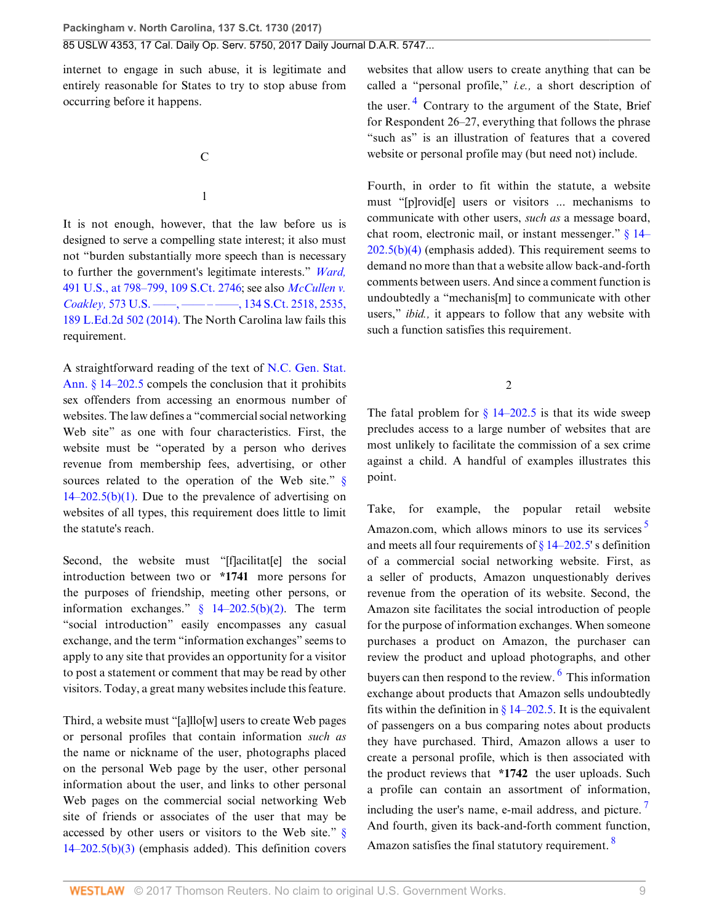internet to engage in such abuse, it is legitimate and entirely reasonable for States to try to stop abuse from occurring before it happens.

C

1

It is not enough, however, that the law before us is designed to serve a compelling state interest; it also must not "burden substantially more speech than is necessary to further the government's legitimate interests." *[Ward,](http://www.westlaw.com/Link/Document/FullText?findType=Y&serNum=1989093295&pubNum=0000708&originatingDoc=I6ee1aafe54f611e7b73588f1a9cfce05&refType=RP&originationContext=document&vr=3.0&rs=cblt1.0&transitionType=DocumentItem&contextData=(sc.UserEnteredCitation))* [491 U.S., at 798–799, 109 S.Ct. 2746](http://www.westlaw.com/Link/Document/FullText?findType=Y&serNum=1989093295&pubNum=0000708&originatingDoc=I6ee1aafe54f611e7b73588f1a9cfce05&refType=RP&originationContext=document&vr=3.0&rs=cblt1.0&transitionType=DocumentItem&contextData=(sc.UserEnteredCitation)); see also *[McCullen v.](http://www.westlaw.com/Link/Document/FullText?findType=Y&serNum=2033678859&pubNum=0000708&originatingDoc=I6ee1aafe54f611e7b73588f1a9cfce05&refType=RP&fi=co_pp_sp_708_2535&originationContext=document&vr=3.0&rs=cblt1.0&transitionType=DocumentItem&contextData=(sc.UserEnteredCitation)#co_pp_sp_708_2535) Coakley,* [573 U.S. ––––, –––– – ––––, 134 S.Ct. 2518, 2535,](http://www.westlaw.com/Link/Document/FullText?findType=Y&serNum=2033678859&pubNum=0000708&originatingDoc=I6ee1aafe54f611e7b73588f1a9cfce05&refType=RP&fi=co_pp_sp_708_2535&originationContext=document&vr=3.0&rs=cblt1.0&transitionType=DocumentItem&contextData=(sc.UserEnteredCitation)#co_pp_sp_708_2535) [189 L.Ed.2d 502 \(2014\)](http://www.westlaw.com/Link/Document/FullText?findType=Y&serNum=2033678859&pubNum=0000708&originatingDoc=I6ee1aafe54f611e7b73588f1a9cfce05&refType=RP&fi=co_pp_sp_708_2535&originationContext=document&vr=3.0&rs=cblt1.0&transitionType=DocumentItem&contextData=(sc.UserEnteredCitation)#co_pp_sp_708_2535). The North Carolina law fails this requirement.

A straightforward reading of the text of [N.C. Gen. Stat.](http://www.westlaw.com/Link/Document/FullText?findType=L&pubNum=1000037&cite=NCSTS14-202.5&originatingDoc=I6ee1aafe54f611e7b73588f1a9cfce05&refType=LQ&originationContext=document&vr=3.0&rs=cblt1.0&transitionType=DocumentItem&contextData=(sc.UserEnteredCitation)) [Ann. § 14–202.5](http://www.westlaw.com/Link/Document/FullText?findType=L&pubNum=1000037&cite=NCSTS14-202.5&originatingDoc=I6ee1aafe54f611e7b73588f1a9cfce05&refType=LQ&originationContext=document&vr=3.0&rs=cblt1.0&transitionType=DocumentItem&contextData=(sc.UserEnteredCitation)) compels the conclusion that it prohibits sex offenders from accessing an enormous number of websites. The law defines a "commercial social networking Web site" as one with four characteristics. First, the website must be "operated by a person who derives revenue from membership fees, advertising, or other sources related to the operation of the Web site." [§](http://www.westlaw.com/Link/Document/FullText?findType=L&pubNum=1000037&cite=NCSTS14-202.5&originatingDoc=I6ee1aafe54f611e7b73588f1a9cfce05&refType=SP&originationContext=document&vr=3.0&rs=cblt1.0&transitionType=DocumentItem&contextData=(sc.UserEnteredCitation)#co_pp_3fed000053a85)  $14-202.5(b)(1)$ . Due to the prevalence of advertising on websites of all types, this requirement does little to limit the statute's reach.

Second, the website must "[f]acilitat[e] the social introduction between two or **\*1741** more persons for the purposes of friendship, meeting other persons, or information exchanges." [§ 14–202.5\(b\)\(2\)](http://www.westlaw.com/Link/Document/FullText?findType=L&pubNum=1000037&cite=NCSTS14-202.5&originatingDoc=I6ee1aafe54f611e7b73588f1a9cfce05&refType=SP&originationContext=document&vr=3.0&rs=cblt1.0&transitionType=DocumentItem&contextData=(sc.UserEnteredCitation)#co_pp_c0ae00006c482). The term "social introduction" easily encompasses any casual exchange, and the term "information exchanges" seems to apply to any site that provides an opportunity for a visitor to post a statement or comment that may be read by other visitors. Today, a great many websites include this feature.

Third, a website must "[a]llo[w] users to create Web pages or personal profiles that contain information *such as* the name or nickname of the user, photographs placed on the personal Web page by the user, other personal information about the user, and links to other personal Web pages on the commercial social networking Web site of friends or associates of the user that may be accessed by other users or visitors to the Web site." [§](http://www.westlaw.com/Link/Document/FullText?findType=L&pubNum=1000037&cite=NCSTS14-202.5&originatingDoc=I6ee1aafe54f611e7b73588f1a9cfce05&refType=SP&originationContext=document&vr=3.0&rs=cblt1.0&transitionType=DocumentItem&contextData=(sc.UserEnteredCitation)#co_pp_d801000002763) [14–202.5\(b\)\(3\)](http://www.westlaw.com/Link/Document/FullText?findType=L&pubNum=1000037&cite=NCSTS14-202.5&originatingDoc=I6ee1aafe54f611e7b73588f1a9cfce05&refType=SP&originationContext=document&vr=3.0&rs=cblt1.0&transitionType=DocumentItem&contextData=(sc.UserEnteredCitation)#co_pp_d801000002763) (emphasis added). This definition covers <span id="page-8-0"></span>websites that allow users to create anything that can be called a "personal profile," *i.e.,* a short description of the user.<sup>[4](#page-10-4)</sup> Contrary to the argument of the State, Brief for Respondent 26–27, everything that follows the phrase "such as" is an illustration of features that a covered website or personal profile may (but need not) include.

Fourth, in order to fit within the statute, a website must "[p]rovid[e] users or visitors ... mechanisms to communicate with other users, *such as* a message board, chat room, electronic mail, or instant messenger." [§ 14–](http://www.westlaw.com/Link/Document/FullText?findType=L&pubNum=1000037&cite=NCSTS14-202.5&originatingDoc=I6ee1aafe54f611e7b73588f1a9cfce05&refType=SP&originationContext=document&vr=3.0&rs=cblt1.0&transitionType=DocumentItem&contextData=(sc.UserEnteredCitation)#co_pp_6ad60000aeea7)  $202.5(b)(4)$  (emphasis added). This requirement seems to demand no more than that a website allow back-and-forth comments between users. And since a comment function is undoubtedly a "mechanis[m] to communicate with other users," *ibid.,* it appears to follow that any website with such a function satisfies this requirement.

<span id="page-8-1"></span>2

The fatal problem for  $\S$  14–202.5 is that its wide sweep precludes access to a large number of websites that are most unlikely to facilitate the commission of a sex crime against a child. A handful of examples illustrates this point.

<span id="page-8-4"></span><span id="page-8-3"></span><span id="page-8-2"></span>Take, for example, the popular retail website Amazon.com, which allows minors to use its services  $5$ and meets all four requirements of  $\S 14-202.5$ 's definition of a commercial social networking website. First, as a seller of products, Amazon unquestionably derives revenue from the operation of its website. Second, the Amazon site facilitates the social introduction of people for the purpose of information exchanges. When someone purchases a product on Amazon, the purchaser can review the product and upload photographs, and other buyers can then respond to the review. <sup>[6](#page-10-6)</sup> This information exchange about products that Amazon sells undoubtedly fits within the definition in  $\S$  14–202.5. It is the equivalent of passengers on a bus comparing notes about products they have purchased. Third, Amazon allows a user to create a personal profile, which is then associated with the product reviews that **\*1742** the user uploads. Such a profile can contain an assortment of information, including the user's name, e-mail address, and picture.  $\frac{7}{1}$  $\frac{7}{1}$  $\frac{7}{1}$ And fourth, given its back-and-forth comment function, Amazon satisfies the final statutory requirement. <sup>[8](#page-10-8)</sup>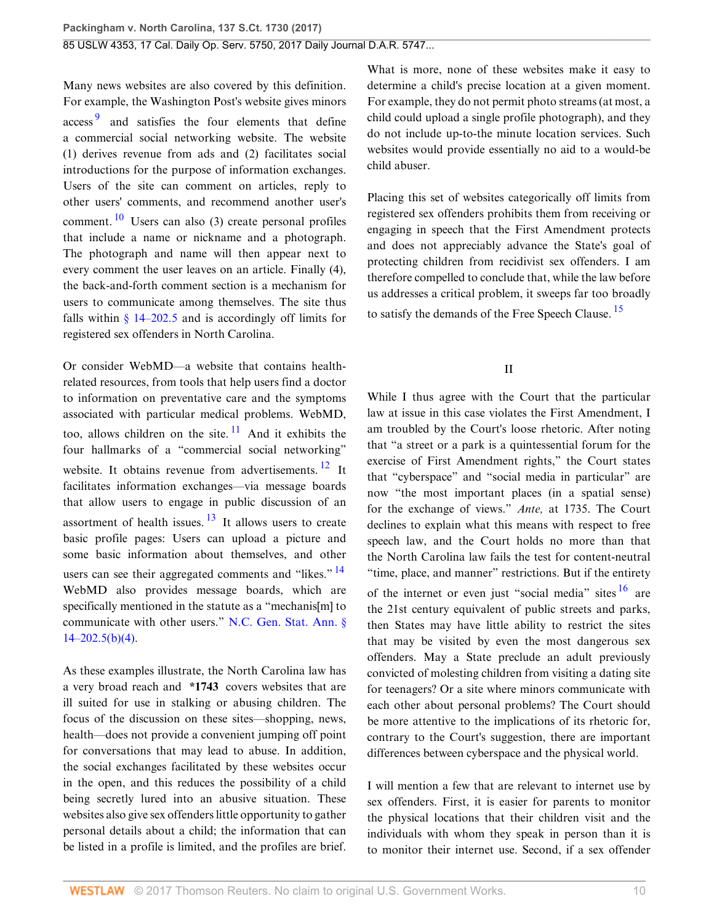<span id="page-9-1"></span><span id="page-9-0"></span>Many news websites are also covered by this definition. For example, the Washington Post's website gives minors access<sup>[9](#page-10-9)</sup> and satisfies the four elements that define a commercial social networking website. The website (1) derives revenue from ads and (2) facilitates social introductions for the purpose of information exchanges. Users of the site can comment on articles, reply to other users' comments, and recommend another user's comment.  $\frac{10}{10}$  $\frac{10}{10}$  $\frac{10}{10}$  Users can also (3) create personal profiles that include a name or nickname and a photograph. The photograph and name will then appear next to every comment the user leaves on an article. Finally (4), the back-and-forth comment section is a mechanism for users to communicate among themselves. The site thus falls within  $\S$  14–202.5 and is accordingly off limits for registered sex offenders in North Carolina.

Or consider WebMD—a website that contains healthrelated resources, from tools that help users find a doctor to information on preventative care and the symptoms associated with particular medical problems. WebMD, too, allows children on the site.  $11$  And it exhibits the four hallmarks of a "commercial social networking" website. It obtains revenue from advertisements.  $12$  It facilitates information exchanges—via message boards that allow users to engage in public discussion of an assortment of health issues.  $13$  It allows users to create basic profile pages: Users can upload a picture and some basic information about themselves, and other users can see their aggregated comments and "likes."  $14$ WebMD also provides message boards, which are specifically mentioned in the statute as a "mechanis[m] to communicate with other users." [N.C. Gen. Stat. Ann. §](http://www.westlaw.com/Link/Document/FullText?findType=L&pubNum=1000037&cite=NCSTS14-202.5&originatingDoc=I6ee1aafe54f611e7b73588f1a9cfce05&refType=SP&originationContext=document&vr=3.0&rs=cblt1.0&transitionType=DocumentItem&contextData=(sc.UserEnteredCitation)#co_pp_6ad60000aeea7)  $14 - 202.5(b)(4)$ .

As these examples illustrate, the North Carolina law has a very broad reach and **\*1743** covers websites that are ill suited for use in stalking or abusing children. The focus of the discussion on these sites—shopping, news, health—does not provide a convenient jumping off point for conversations that may lead to abuse. In addition, the social exchanges facilitated by these websites occur in the open, and this reduces the possibility of a child being secretly lured into an abusive situation. These websites also give sex offenders little opportunity to gather personal details about a child; the information that can be listed in a profile is limited, and the profiles are brief. What is more, none of these websites make it easy to determine a child's precise location at a given moment. For example, they do not permit photo streams (at most, a child could upload a single profile photograph), and they do not include up-to-the minute location services. Such websites would provide essentially no aid to a would-be child abuser.

Placing this set of websites categorically off limits from registered sex offenders prohibits them from receiving or engaging in speech that the First Amendment protects and does not appreciably advance the State's goal of protecting children from recidivist sex offenders. I am therefore compelled to conclude that, while the law before us addresses a critical problem, it sweeps far too broadly to satisfy the demands of the Free Speech Clause. [15](#page-11-5)

<span id="page-9-7"></span><span id="page-9-6"></span>II

<span id="page-9-5"></span><span id="page-9-4"></span><span id="page-9-3"></span><span id="page-9-2"></span>While I thus agree with the Court that the particular law at issue in this case violates the First Amendment, I am troubled by the Court's loose rhetoric. After noting that "a street or a park is a quintessential forum for the exercise of First Amendment rights," the Court states that "cyberspace" and "social media in particular" are now "the most important places (in a spatial sense) for the exchange of views." *Ante,* at 1735. The Court declines to explain what this means with respect to free speech law, and the Court holds no more than that the North Carolina law fails the test for content-neutral "time, place, and manner" restrictions. But if the entirety of the internet or even just "social media" sites  $16$  are the 21st century equivalent of public streets and parks, then States may have little ability to restrict the sites that may be visited by even the most dangerous sex offenders. May a State preclude an adult previously convicted of molesting children from visiting a dating site for teenagers? Or a site where minors communicate with each other about personal problems? The Court should be more attentive to the implications of its rhetoric for, contrary to the Court's suggestion, there are important differences between cyberspace and the physical world.

I will mention a few that are relevant to internet use by sex offenders. First, it is easier for parents to monitor the physical locations that their children visit and the individuals with whom they speak in person than it is to monitor their internet use. Second, if a sex offender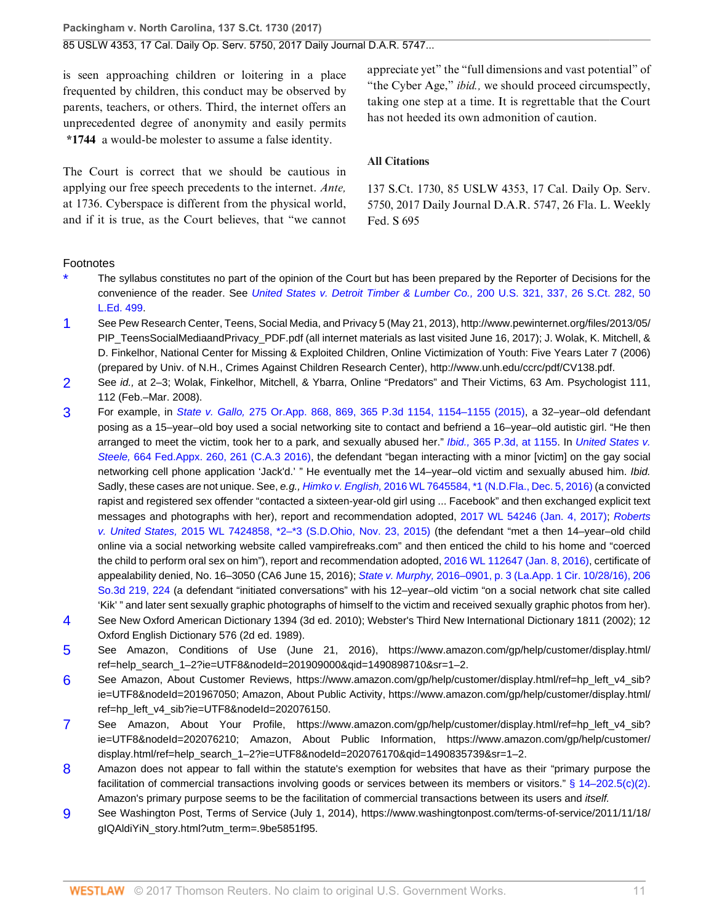**Packingham v. North Carolina, 137 S.Ct. 1730 (2017)**

85 USLW 4353, 17 Cal. Daily Op. Serv. 5750, 2017 Daily Journal D.A.R. 5747...

is seen approaching children or loitering in a place frequented by children, this conduct may be observed by parents, teachers, or others. Third, the internet offers an unprecedented degree of anonymity and easily permits **\*1744** a would-be molester to assume a false identity.

The Court is correct that we should be cautious in applying our free speech precedents to the internet. *Ante,* at 1736. Cyberspace is different from the physical world, and if it is true, as the Court believes, that "we cannot appreciate yet" the "full dimensions and vast potential" of "the Cyber Age," *ibid.,* we should proceed circumspectly, taking one step at a time. It is regrettable that the Court has not heeded its own admonition of caution.

### **All Citations**

137 S.Ct. 1730, 85 USLW 4353, 17 Cal. Daily Op. Serv. 5750, 2017 Daily Journal D.A.R. 5747, 26 Fla. L. Weekly Fed. S 695

### Footnotes

- <span id="page-10-0"></span>The syllabus constitutes no part of the opinion of the Court but has been prepared by the Reporter of Decisions for the convenience of the reader. See [United States v. Detroit Timber & Lumber Co.,](http://www.westlaw.com/Link/Document/FullText?findType=Y&serNum=1906101604&pubNum=0000708&originatingDoc=I6ee1aafe54f611e7b73588f1a9cfce05&refType=RP&originationContext=document&vr=3.0&rs=cblt1.0&transitionType=DocumentItem&contextData=(sc.UserEnteredCitation)) 200 U.S. 321, 337, 26 S.Ct. 282, 50 [L.Ed. 499.](http://www.westlaw.com/Link/Document/FullText?findType=Y&serNum=1906101604&pubNum=0000708&originatingDoc=I6ee1aafe54f611e7b73588f1a9cfce05&refType=RP&originationContext=document&vr=3.0&rs=cblt1.0&transitionType=DocumentItem&contextData=(sc.UserEnteredCitation))
- <span id="page-10-1"></span>[1](#page-7-0) See Pew Research Center, Teens, Social Media, and Privacy 5 (May 21, 2013), http://www.pewinternet.org/files/2013/05/ PIP\_TeensSocialMediaandPrivacy\_PDF.pdf (all internet materials as last visited June 16, 2017); J. Wolak, K. Mitchell, & D. Finkelhor, National Center for Missing & Exploited Children, Online Victimization of Youth: Five Years Later 7 (2006) (prepared by Univ. of N.H., Crimes Against Children Research Center), http://www.unh.edu/ccrc/pdf/CV138.pdf.
- <span id="page-10-2"></span>[2](#page-7-1) See id., at 2–3; Wolak, Finkelhor, Mitchell, & Ybarra, Online "Predators" and Their Victims, 63 Am. Psychologist 111, 112 (Feb.–Mar. 2008).
- <span id="page-10-3"></span>[3](#page-7-2) For example, in State v. Gallo, [275 Or.App. 868, 869, 365 P.3d 1154, 1154–1155 \(2015\)](http://www.westlaw.com/Link/Document/FullText?findType=Y&serNum=2037921285&pubNum=0004645&originatingDoc=I6ee1aafe54f611e7b73588f1a9cfce05&refType=RP&originationContext=document&vr=3.0&rs=cblt1.0&transitionType=DocumentItem&contextData=(sc.UserEnteredCitation)), a 32–year–old defendant posing as a 15–year–old boy used a social networking site to contact and befriend a 16–year–old autistic girl. "He then arranged to meet the victim, took her to a park, and sexually abused her." Ibid., [365 P.3d, at 1155](http://www.westlaw.com/Link/Document/FullText?findType=Y&serNum=2037921285&pubNum=0004645&originatingDoc=I6ee1aafe54f611e7b73588f1a9cfce05&refType=RP&fi=co_pp_sp_4645_1155&originationContext=document&vr=3.0&rs=cblt1.0&transitionType=DocumentItem&contextData=(sc.UserEnteredCitation)#co_pp_sp_4645_1155). In [United States v.](http://www.westlaw.com/Link/Document/FullText?findType=Y&serNum=2040400231&pubNum=0006538&originatingDoc=I6ee1aafe54f611e7b73588f1a9cfce05&refType=RP&fi=co_pp_sp_6538_261&originationContext=document&vr=3.0&rs=cblt1.0&transitionType=DocumentItem&contextData=(sc.UserEnteredCitation)#co_pp_sp_6538_261) Steele, [664 Fed.Appx. 260, 261 \(C.A.3 2016\),](http://www.westlaw.com/Link/Document/FullText?findType=Y&serNum=2040400231&pubNum=0006538&originatingDoc=I6ee1aafe54f611e7b73588f1a9cfce05&refType=RP&fi=co_pp_sp_6538_261&originationContext=document&vr=3.0&rs=cblt1.0&transitionType=DocumentItem&contextData=(sc.UserEnteredCitation)#co_pp_sp_6538_261) the defendant "began interacting with a minor [victim] on the gay social networking cell phone application 'Jack'd.' " He eventually met the 14–year–old victim and sexually abused him. Ibid. Sadly, these cases are not unique. See, e.g., Himko v. English, [2016 WL 7645584, \\*1 \(N.D.Fla., Dec. 5, 2016\)](http://www.westlaw.com/Link/Document/FullText?findType=Y&serNum=2040705352&pubNum=0000999&originatingDoc=I6ee1aafe54f611e7b73588f1a9cfce05&refType=RP&originationContext=document&vr=3.0&rs=cblt1.0&transitionType=DocumentItem&contextData=(sc.UserEnteredCitation)) (a convicted rapist and registered sex offender "contacted a sixteen-year-old girl using ... Facebook" and then exchanged explicit text messages and photographs with her), report and recommendation adopted, [2017 WL 54246 \(Jan. 4, 2017\);](http://www.westlaw.com/Link/Document/FullText?findType=Y&serNum=2040704068&pubNum=0000999&originatingDoc=I6ee1aafe54f611e7b73588f1a9cfce05&refType=RP&originationContext=document&vr=3.0&rs=cblt1.0&transitionType=DocumentItem&contextData=(sc.UserEnteredCitation)) [Roberts](http://www.westlaw.com/Link/Document/FullText?findType=Y&serNum=2037653909&pubNum=0000999&originatingDoc=I6ee1aafe54f611e7b73588f1a9cfce05&refType=RP&originationContext=document&vr=3.0&rs=cblt1.0&transitionType=DocumentItem&contextData=(sc.UserEnteredCitation)) v. United States, [2015 WL 7424858, \\*2–\\*3 \(S.D.Ohio, Nov. 23, 2015\)](http://www.westlaw.com/Link/Document/FullText?findType=Y&serNum=2037653909&pubNum=0000999&originatingDoc=I6ee1aafe54f611e7b73588f1a9cfce05&refType=RP&originationContext=document&vr=3.0&rs=cblt1.0&transitionType=DocumentItem&contextData=(sc.UserEnteredCitation)) (the defendant "met a then 14–year–old child online via a social networking website called vampirefreaks.com" and then enticed the child to his home and "coerced the child to perform oral sex on him"), report and recommendation adopted, [2016 WL 112647 \(Jan. 8, 2016\)](http://www.westlaw.com/Link/Document/FullText?findType=Y&serNum=2037976628&pubNum=0000999&originatingDoc=I6ee1aafe54f611e7b73588f1a9cfce05&refType=RP&originationContext=document&vr=3.0&rs=cblt1.0&transitionType=DocumentItem&contextData=(sc.UserEnteredCitation)), certificate of appealability denied, No. 16–3050 (CA6 June 15, 2016); State v. Murphy, [2016–0901, p. 3 \(La.App. 1 Cir. 10/28/16\), 206](http://www.westlaw.com/Link/Document/FullText?findType=Y&serNum=2040191048&pubNum=0003926&originatingDoc=I6ee1aafe54f611e7b73588f1a9cfce05&refType=RP&fi=co_pp_sp_3926_224&originationContext=document&vr=3.0&rs=cblt1.0&transitionType=DocumentItem&contextData=(sc.UserEnteredCitation)#co_pp_sp_3926_224) [So.3d 219, 224](http://www.westlaw.com/Link/Document/FullText?findType=Y&serNum=2040191048&pubNum=0003926&originatingDoc=I6ee1aafe54f611e7b73588f1a9cfce05&refType=RP&fi=co_pp_sp_3926_224&originationContext=document&vr=3.0&rs=cblt1.0&transitionType=DocumentItem&contextData=(sc.UserEnteredCitation)#co_pp_sp_3926_224) (a defendant "initiated conversations" with his 12–year–old victim "on a social network chat site called 'Kik' " and later sent sexually graphic photographs of himself to the victim and received sexually graphic photos from her).
- <span id="page-10-4"></span>[4](#page-8-0) See New Oxford American Dictionary 1394 (3d ed. 2010); Webster's Third New International Dictionary 1811 (2002); 12 Oxford English Dictionary 576 (2d ed. 1989).
- <span id="page-10-5"></span>[5](#page-8-1) See Amazon, Conditions of Use (June 21, 2016), https://www.amazon.com/gp/help/customer/display.html/ ref=help\_search\_1–2?ie=UTF8&nodeId=201909000&qid=1490898710&sr=1–2.
- <span id="page-10-6"></span>[6](#page-8-2) See Amazon, About Customer Reviews, https://www.amazon.com/gp/help/customer/display.html/ref=hp\_left\_v4\_sib? ie=UTF8&nodeId=201967050; Amazon, About Public Activity, https://www.amazon.com/gp/help/customer/display.html/ ref=hp\_left\_v4\_sib?ie=UTF8&nodeId=202076150.
- <span id="page-10-7"></span>[7](#page-8-3) See Amazon, About Your Profile, https://www.amazon.com/gp/help/customer/display.html/ref=hp\_left\_v4\_sib? ie=UTF8&nodeId=202076210; Amazon, About Public Information, https://www.amazon.com/gp/help/customer/ display.html/ref=help\_search\_1–2?ie=UTF8&nodeId=202076170&qid=1490835739&sr=1–2.
- <span id="page-10-8"></span>[8](#page-8-4) Amazon does not appear to fall within the statute's exemption for websites that have as their "primary purpose the facilitation of commercial transactions involving goods or services between its members or visitors." [§ 14–202.5\(c\)\(2\)](http://www.westlaw.com/Link/Document/FullText?findType=L&pubNum=1000037&cite=NCSTS14-202.5&originatingDoc=I6ee1aafe54f611e7b73588f1a9cfce05&refType=SP&originationContext=document&vr=3.0&rs=cblt1.0&transitionType=DocumentItem&contextData=(sc.UserEnteredCitation)#co_pp_fcf30000ea9c4). Amazon's primary purpose seems to be the facilitation of commercial transactions between its users and *itself.*
- <span id="page-10-9"></span>[9](#page-9-0) See Washington Post, Terms of Service (July 1, 2014), https://www.washingtonpost.com/terms-of-service/2011/11/18/ gIQAldiYiN\_story.html?utm\_term=.9be5851f95.